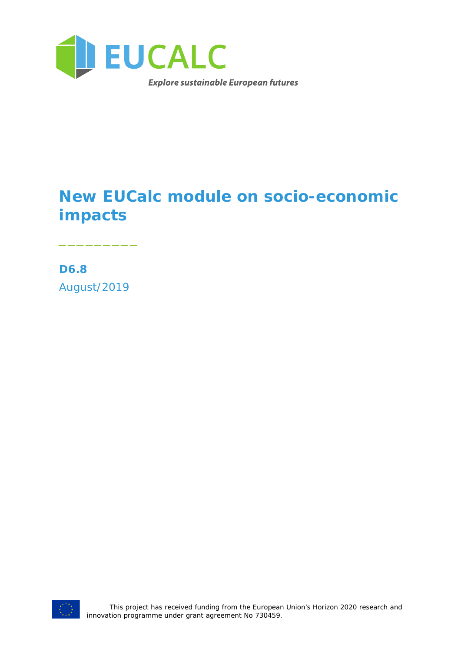

# **New EUCalc module on socio-economic impacts**

**D6.8** August/2019

\_\_\_\_\_\_\_\_\_

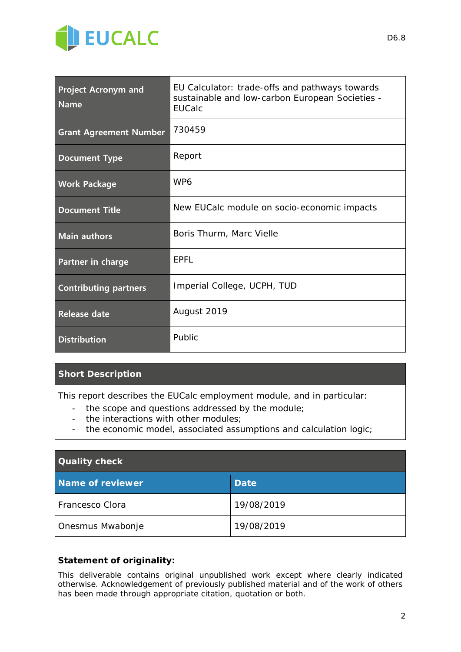

| <b>Project Acronym and</b><br><b>Name</b> | EU Calculator: trade-offs and pathways towards<br>sustainable and low-carbon European Societies -<br><b>EUCalc</b> |  |  |
|-------------------------------------------|--------------------------------------------------------------------------------------------------------------------|--|--|
| <b>Grant Agreement Number</b>             | 730459                                                                                                             |  |  |
| <b>Document Type</b>                      | Report                                                                                                             |  |  |
| <b>Work Package</b>                       | WP <sub>6</sub>                                                                                                    |  |  |
| <b>Document Title</b>                     | New EUCalc module on socio-economic impacts                                                                        |  |  |
| <b>Main authors</b>                       | Boris Thurm, Marc Vielle                                                                                           |  |  |
| Partner in charge                         | EPFL                                                                                                               |  |  |
| <b>Contributing partners</b>              | Imperial College, UCPH, TUD                                                                                        |  |  |
| <b>Release date</b>                       | August 2019                                                                                                        |  |  |
| <b>Distribution</b>                       | Public                                                                                                             |  |  |

#### **Short Description**

*This report describes the EUCalc employment module, and in particular:*

- *the scope and questions addressed by the module;*
- *the interactions with other modules;*
- *the economic model, associated assumptions and calculation logic;*

| <b>Quality check</b> |             |  |  |
|----------------------|-------------|--|--|
| Name of reviewer     | <b>Date</b> |  |  |
| Francesco Clora      | 19/08/2019  |  |  |
| Onesmus Mwabonje     | 19/08/2019  |  |  |

#### **Statement of originality:**

This deliverable contains original unpublished work except where clearly indicated otherwise. Acknowledgement of previously published material and of the work of others has been made through appropriate citation, quotation or both.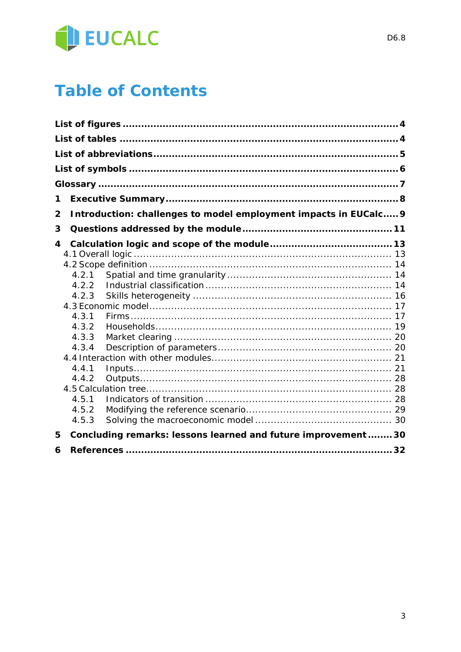

# **Table of Contents**

| 1     |                                                                  |  |  |
|-------|------------------------------------------------------------------|--|--|
|       |                                                                  |  |  |
| 2     | Introduction: challenges to model employment impacts in EUCalc 9 |  |  |
| 3     |                                                                  |  |  |
| 4     |                                                                  |  |  |
|       |                                                                  |  |  |
|       |                                                                  |  |  |
| 4.2.1 |                                                                  |  |  |
| 4.2.2 |                                                                  |  |  |
| 4.2.3 |                                                                  |  |  |
|       |                                                                  |  |  |
| 4.3.1 |                                                                  |  |  |
| 4.3.2 |                                                                  |  |  |
| 4.3.3 |                                                                  |  |  |
| 4.3.4 |                                                                  |  |  |
|       |                                                                  |  |  |
| 4.4.1 |                                                                  |  |  |
| 4.4.2 |                                                                  |  |  |
|       |                                                                  |  |  |
| 4.5.1 |                                                                  |  |  |
| 4.5.2 |                                                                  |  |  |
| 4.5.3 |                                                                  |  |  |
| 5     | Concluding remarks: lessons learned and future improvement  30   |  |  |
| 6     |                                                                  |  |  |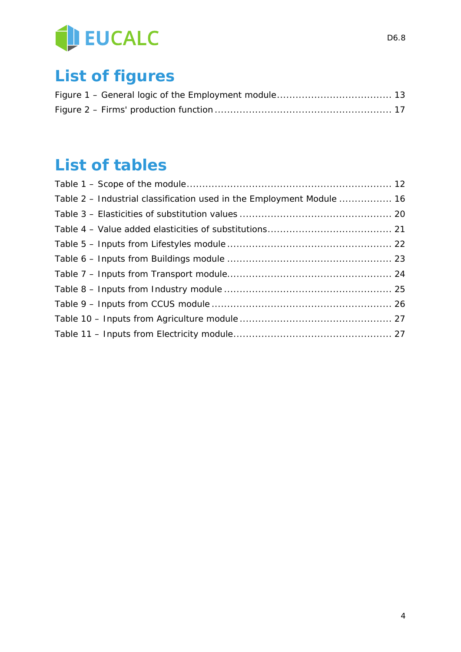

# **List of figures**

# **List of tables**

| Table 2 – Industrial classification used in the Employment Module  16 |  |
|-----------------------------------------------------------------------|--|
|                                                                       |  |
|                                                                       |  |
|                                                                       |  |
|                                                                       |  |
|                                                                       |  |
|                                                                       |  |
|                                                                       |  |
|                                                                       |  |
|                                                                       |  |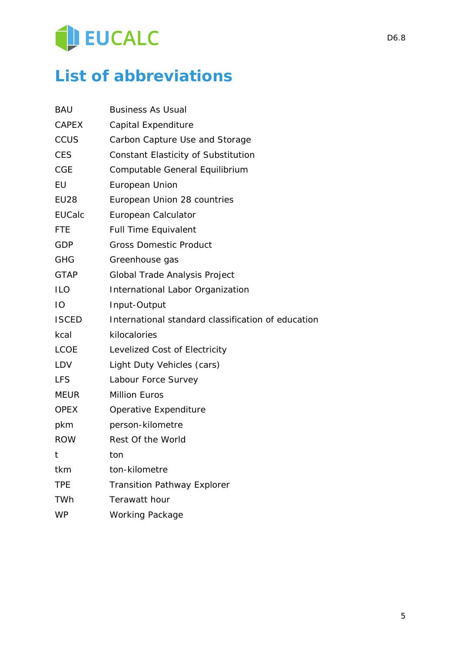# EUCALC

# **List of abbreviations**

| <b>BAU</b>    | <b>Business As Usual</b>                           |
|---------------|----------------------------------------------------|
| <b>CAPEX</b>  | Capital Expenditure                                |
| <b>CCUS</b>   | Carbon Capture Use and Storage                     |
| <b>CES</b>    | <b>Constant Elasticity of Substitution</b>         |
| <b>CGE</b>    | Computable General Equilibrium                     |
| EU            | European Union                                     |
| <b>EU28</b>   | European Union 28 countries                        |
| <b>EUCalc</b> | European Calculator                                |
| <b>FTE</b>    | <b>Full Time Equivalent</b>                        |
| <b>GDP</b>    | <b>Gross Domestic Product</b>                      |
| <b>GHG</b>    | Greenhouse gas                                     |
| <b>GTAP</b>   | Global Trade Analysis Project                      |
| <b>ILO</b>    | International Labor Organization                   |
| IO            | Input-Output                                       |
| <b>ISCED</b>  | International standard classification of education |
| kcal          | kilocalories                                       |
| <b>LCOE</b>   | Levelized Cost of Electricity                      |
| LDV           | Light Duty Vehicles (cars)                         |
| <b>LFS</b>    | Labour Force Survey                                |
| <b>MEUR</b>   | <b>Million Euros</b>                               |
| <b>OPEX</b>   | Operative Expenditure                              |
| pkm           | person-kilometre                                   |
| <b>ROW</b>    | Rest Of the World                                  |
| t             | ton                                                |
| tkm           | ton-kilometre                                      |
| <b>TPE</b>    | <b>Transition Pathway Explorer</b>                 |
| TWh           | Terawatt hour                                      |
| <b>WP</b>     | <b>Working Package</b>                             |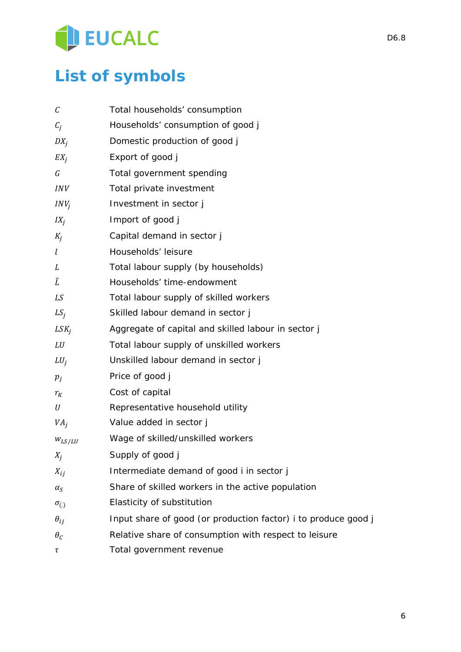# EUCALC

# **List of symbols**

| С               | Total households' consumption                                       |
|-----------------|---------------------------------------------------------------------|
| $C_i$           | Households' consumption of good j                                   |
| $DX_i$          | Domestic production of good j                                       |
| $EX_i$          | Export of good j                                                    |
| G               | Total government spending                                           |
| <i>INV</i>      | Total private investment                                            |
| $INV_i$         | Investment in sector j                                              |
| $IX_i$          | Import of good j                                                    |
| $K_i$           | Capital demand in sector j                                          |
| l               | Households' leisure                                                 |
| L               | Total labour supply (by households)                                 |
| Ĩ               | Households' time-endowment                                          |
| LS              | Total labour supply of skilled workers                              |
| $LS_i$          | Skilled labour demand in sector j                                   |
| $LSK_i$         | Aggregate of capital and skilled labour in sector j                 |
| LU              | Total labour supply of unskilled workers                            |
| $LU_j$          | Unskilled labour demand in sector j                                 |
| $p_j$           | Price of good j                                                     |
| $r_K$           | Cost of capital                                                     |
| U               | Representative household utility                                    |
| VA <sub>j</sub> | Value added in sector j                                             |
| $W_{LS/LU}$     | Wage of skilled/unskilled workers                                   |
| $X_i$           | Supply of good j                                                    |
| $X_{ij}$        | Intermediate demand of good <i>i</i> in sector <i>j</i>             |
| $\alpha_{S}$    | Share of skilled workers in the active population                   |
| $\sigma_{(.)}$  | Elasticity of substitution                                          |
| $\theta_{ij}$   | Input share of good (or production factor) <i>i</i> to produce good |
| $\theta_c$      | Relative share of consumption with respect to leisure               |
| τ               | Total government revenue                                            |
|                 |                                                                     |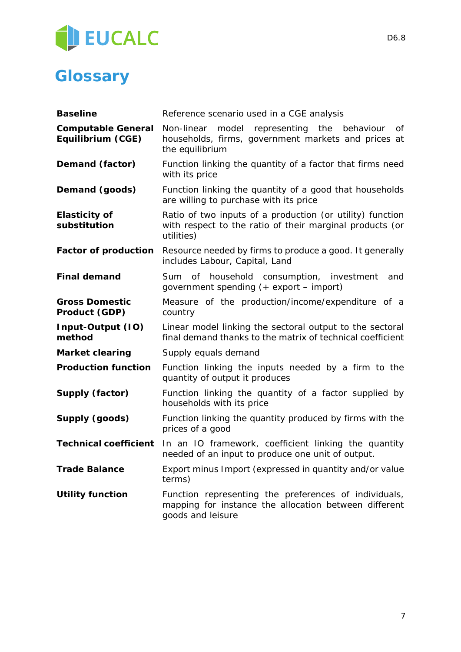

# **Glossary**

| <b>Baseline</b>                                | Reference scenario used in a CGE analysis                                                                                            |  |  |  |  |
|------------------------------------------------|--------------------------------------------------------------------------------------------------------------------------------------|--|--|--|--|
| <b>Computable General</b><br>Equilibrium (CGE) | Non-linear model<br>representing<br>the<br>behaviour<br>Οf<br>households, firms, government markets and prices at<br>the equilibrium |  |  |  |  |
| Demand (factor)                                | Function linking the quantity of a factor that firms need<br>with its price                                                          |  |  |  |  |
| Demand (goods)                                 | Function linking the quantity of a good that households<br>are willing to purchase with its price                                    |  |  |  |  |
| <b>Elasticity of</b><br>substitution           | Ratio of two inputs of a production (or utility) function<br>with respect to the ratio of their marginal products (or<br>utilities)  |  |  |  |  |
| <b>Factor of production</b>                    | Resource needed by firms to produce a good. It generally<br>includes Labour, Capital, Land                                           |  |  |  |  |
| <b>Final demand</b>                            | household consumption, investment<br>Sum<br>of<br>and<br>government spending (+ export – import)                                     |  |  |  |  |
| <b>Gross Domestic</b><br>Product (GDP)         | Measure of the production/income/expenditure of a<br>country                                                                         |  |  |  |  |
| Input-Output (IO)<br>method                    | Linear model linking the sectoral output to the sectoral<br>final demand thanks to the matrix of technical coefficient               |  |  |  |  |
| <b>Market clearing</b>                         | Supply equals demand                                                                                                                 |  |  |  |  |
| <b>Production function</b>                     | Function linking the inputs needed by a firm to the<br>quantity of output it produces                                                |  |  |  |  |
| Supply (factor)                                | Function linking the quantity of a factor supplied by<br>households with its price                                                   |  |  |  |  |
| Supply (goods)                                 | Function linking the quantity produced by firms with the<br>prices of a good                                                         |  |  |  |  |
| <b>Technical coefficient</b>                   | In an IO framework, coefficient linking the quantity<br>needed of an input to produce one unit of output.                            |  |  |  |  |
| <b>Trade Balance</b>                           | Export minus Import (expressed in quantity and/or value<br>terms)                                                                    |  |  |  |  |
| <b>Utility function</b>                        | Function representing the preferences of individuals,<br>mapping for instance the allocation between different<br>goods and leisure  |  |  |  |  |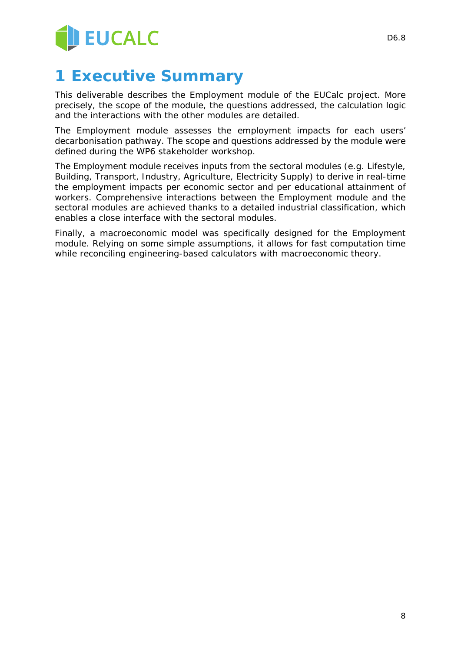

# **1 Executive Summary**

This deliverable describes the Employment module of the EUCalc project. More precisely, the scope of the module, the questions addressed, the calculation logic and the interactions with the other modules are detailed.

The Employment module assesses the employment impacts for each users' decarbonisation pathway. The scope and questions addressed by the module were defined during the WP6 stakeholder workshop.

The Employment module receives inputs from the sectoral modules (e.g. Lifestyle, Building, Transport, Industry, Agriculture, Electricity Supply) to derive in real-time the employment impacts per economic sector and per educational attainment of workers. Comprehensive interactions between the Employment module and the sectoral modules are achieved thanks to a detailed industrial classification, which enables a close interface with the sectoral modules.

Finally, a macroeconomic model was specifically designed for the Employment module. Relying on some simple assumptions, it allows for fast computation time while reconciling engineering-based calculators with macroeconomic theory.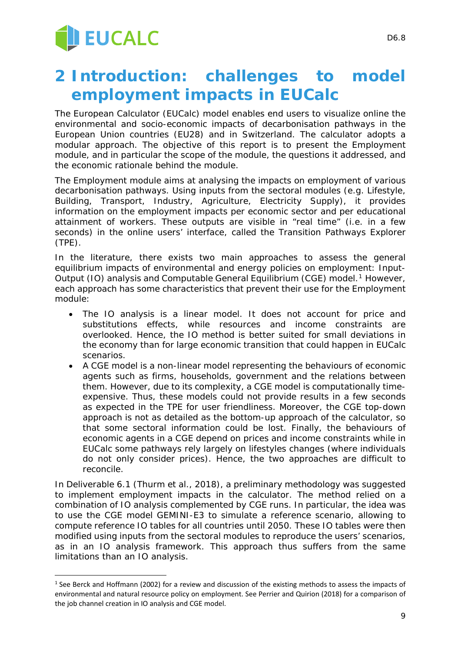# **2 Introduction: challenges to model employment impacts in EUCalc**

The European Calculator (EUCalc) model enables end users to visualize online the environmental and socio-economic impacts of decarbonisation pathways in the European Union countries (EU28) and in Switzerland. The calculator adopts a modular approach. The objective of this report is to present the Employment module, and in particular the scope of the module, the questions it addressed, and the economic rationale behind the module.

The Employment module aims at analysing the impacts on employment of various decarbonisation pathways. Using inputs from the sectoral modules (e.g. Lifestyle, Building, Transport, Industry, Agriculture, Electricity Supply), it provides information on the employment impacts per economic sector and per educational attainment of workers. These outputs are visible in "real time" (i.e. in a few seconds) in the online users' interface, called the Transition Pathways Explorer (TPE).

In the literature, there exists two main approaches to assess the general equilibrium impacts of environmental and energy policies on employment: Input-Output (IO) analysis and Computable General Equilibrium (CGE) model.<sup>[1](#page-8-0)</sup> However, each approach has some characteristics that prevent their use for the Employment module:

- The IO analysis is a linear model. It does not account for price and substitutions effects, while resources and income constraints are overlooked. Hence, the IO method is better suited for small deviations in the economy than for large economic transition that could happen in EUCalc scenarios.
- A CGE model is a non-linear model representing the behaviours of economic agents such as firms, households, government and the relations between them. However, due to its complexity, a CGE model is computationally timeexpensive. Thus, these models could not provide results in a few seconds as expected in the TPE for user friendliness. Moreover, the CGE top-down approach is not as detailed as the bottom-up approach of the calculator, so that some sectoral information could be lost. Finally, the behaviours of economic agents in a CGE depend on prices and income constraints while in EUCalc some pathways rely largely on lifestyles changes (where individuals do not only consider prices). Hence, the two approaches are difficult to reconcile.

In Deliverable 6.1 (Thurm et al., 2018), a preliminary methodology was suggested to implement employment impacts in the calculator. The method relied on a combination of IO analysis complemented by CGE runs. In particular, the idea was to use the CGE model GEMINI-E3 to simulate a reference scenario, allowing to compute reference IO tables for all countries until 2050. These IO tables were then modified using inputs from the sectoral modules to reproduce the users' scenarios, as in an IO analysis framework. This approach thus suffers from the same limitations than an IO analysis.

<span id="page-8-0"></span><sup>-</sup> $1$  See Berck and Hoffmann (2002) for a review and discussion of the existing methods to assess the impacts of environmental and natural resource policy on employment. See Perrier and Quirion (2018) for a comparison of the job channel creation in IO analysis and CGE model.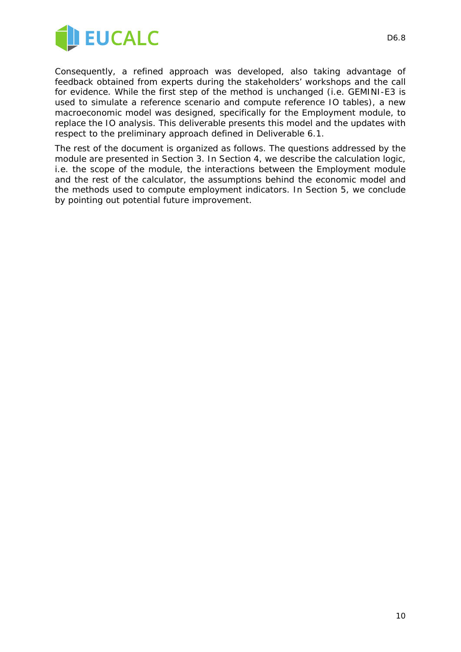

Consequently, a refined approach was developed, also taking advantage of feedback obtained from experts during the stakeholders' workshops and the call for evidence. While the first step of the method is unchanged (i.e. GEMINI-E3 is used to simulate a reference scenario and compute reference IO tables), a new macroeconomic model was designed, specifically for the Employment module, to replace the IO analysis. This deliverable presents this model and the updates with respect to the preliminary approach defined in Deliverable 6.1.

The rest of the document is organized as follows. The questions addressed by the module are presented in Section 3. In Section 4, we describe the calculation logic, i.e. the scope of the module, the interactions between the Employment module and the rest of the calculator, the assumptions behind the economic model and the methods used to compute employment indicators. In Section 5, we conclude by pointing out potential future improvement.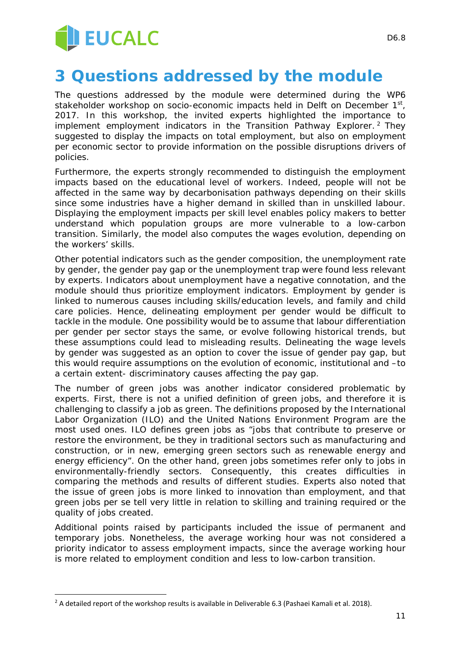

# **3 Questions addressed by the module**

The questions addressed by the module were determined during the WP6 stakeholder workshop on socio-economic impacts held in Delft on December 1<sup>st</sup>, 2017. In this workshop, the invited experts highlighted the importance to implement employment indicators in the Transition Pathway Explorer.<sup>[2](#page-10-0)</sup> They suggested to display the impacts on total employment, but also on employment per economic sector to provide information on the possible disruptions drivers of policies.

Furthermore, the experts strongly recommended to distinguish the employment impacts based on the educational level of workers. Indeed, people will not be affected in the same way by decarbonisation pathways depending on their skills since some industries have a higher demand in skilled than in unskilled labour. Displaying the employment impacts per skill level enables policy makers to better understand which population groups are more vulnerable to a low-carbon transition. Similarly, the model also computes the wages evolution, depending on the workers' skills.

Other potential indicators such as the gender composition, the unemployment rate by gender, the gender pay gap or the unemployment trap were found less relevant by experts. Indicators about unemployment have a negative connotation, and the module should thus prioritize employment indicators. Employment by gender is linked to numerous causes including skills/education levels, and family and child care policies. Hence, delineating employment per gender would be difficult to tackle in the module. One possibility would be to assume that labour differentiation per gender per sector stays the same, or evolve following historical trends, but these assumptions could lead to misleading results. Delineating the wage levels by gender was suggested as an option to cover the issue of gender pay gap, but this would require assumptions on the evolution of economic, institutional and –to a certain extent- discriminatory causes affecting the pay gap.

The number of green jobs was another indicator considered problematic by experts. First, there is not a unified definition of green jobs, and therefore it is challenging to classify a job as green. The definitions proposed by the International Labor Organization (ILO) and the United Nations Environment Program are the most used ones. ILO defines green jobs as "jobs that contribute to preserve or restore the environment, be they in traditional sectors such as manufacturing and construction, or in new, emerging green sectors such as renewable energy and energy efficiency". On the other hand, green jobs sometimes refer only to jobs in environmentally-friendly sectors. Consequently, this creates difficulties in comparing the methods and results of different studies. Experts also noted that the issue of green jobs is more linked to innovation than employment, and that green jobs per se tell very little in relation to skilling and training required or the quality of jobs created.

Additional points raised by participants included the issue of permanent and temporary jobs. Nonetheless, the average working hour was not considered a priority indicator to assess employment impacts, since the average working hour is more related to employment condition and less to low-carbon transition.

-

<span id="page-10-0"></span><sup>&</sup>lt;sup>2</sup> A detailed report of the workshop results is available in Deliverable 6.3 (Pashaei Kamali et al. 2018).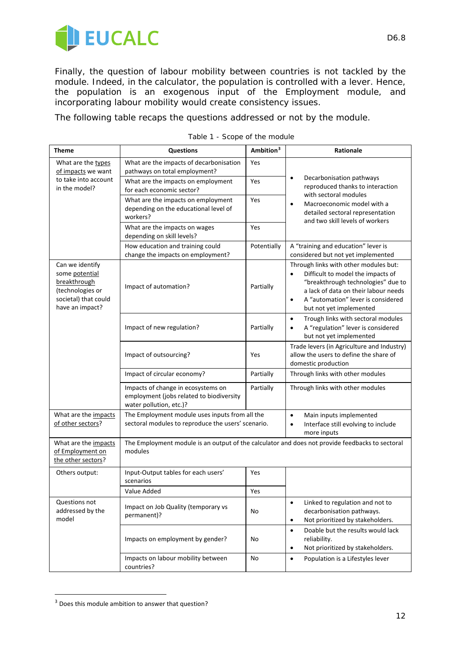

Finally, the question of labour mobility between countries is not tackled by the module. Indeed, in the calculator, the population is controlled with a lever. Hence, the population is an exogenous input of the Employment module, and incorporating labour mobility would create consistency issues.

The following table recaps the questions addressed or not by the module.

| Theme                                                                                                            | <b>Questions</b>                                                                                            | Ambition <sup>3</sup> | Rationale                                                                                                                                                                                                                                           |  |
|------------------------------------------------------------------------------------------------------------------|-------------------------------------------------------------------------------------------------------------|-----------------------|-----------------------------------------------------------------------------------------------------------------------------------------------------------------------------------------------------------------------------------------------------|--|
| What are the types<br>of impacts we want                                                                         | What are the impacts of decarbonisation<br>pathways on total employment?                                    | Yes                   |                                                                                                                                                                                                                                                     |  |
| to take into account<br>in the model?                                                                            | What are the impacts on employment<br>for each economic sector?                                             | Yes                   | Decarbonisation pathways<br>$\bullet$<br>reproduced thanks to interaction<br>with sectoral modules                                                                                                                                                  |  |
|                                                                                                                  | What are the impacts on employment<br>Yes<br>$\bullet$<br>depending on the educational level of<br>workers? |                       | Macroeconomic model with a<br>detailed sectoral representation<br>and two skill levels of workers                                                                                                                                                   |  |
|                                                                                                                  | What are the impacts on wages<br>depending on skill levels?                                                 | Yes                   |                                                                                                                                                                                                                                                     |  |
|                                                                                                                  | How education and training could<br>change the impacts on employment?                                       | Potentially           | A "training and education" lever is<br>considered but not yet implemented                                                                                                                                                                           |  |
| Can we identify<br>some potential<br>breakthrough<br>(technologies or<br>societal) that could<br>have an impact? | Impact of automation?                                                                                       | Partially             | Through links with other modules but:<br>Difficult to model the impacts of<br>$\bullet$<br>"breakthrough technologies" due to<br>a lack of data on their labour needs<br>A "automation" lever is considered<br>$\bullet$<br>but not yet implemented |  |
|                                                                                                                  | Impact of new regulation?                                                                                   | Partially             | Trough links with sectoral modules<br>$\bullet$<br>A "regulation" lever is considered<br>$\bullet$<br>but not yet implemented                                                                                                                       |  |
|                                                                                                                  | Impact of outsourcing?                                                                                      | Yes                   | Trade levers (in Agriculture and Industry)<br>allow the users to define the share of<br>domestic production                                                                                                                                         |  |
|                                                                                                                  | Impact of circular economy?                                                                                 | Partially             | Through links with other modules                                                                                                                                                                                                                    |  |
|                                                                                                                  | Impacts of change in ecosystems on<br>employment (jobs related to biodiversity<br>water pollution, etc.)?   | Partially             | Through links with other modules                                                                                                                                                                                                                    |  |
| What are the impacts<br>of other sectors?                                                                        | The Employment module uses inputs from all the<br>sectoral modules to reproduce the users' scenario.        |                       | $\bullet$<br>Main inputs implemented<br>Interface still evolving to include<br>$\bullet$<br>more inputs                                                                                                                                             |  |
| What are the impacts<br>of Employment on<br>the other sectors?                                                   | The Employment module is an output of the calculator and does not provide feedbacks to sectoral<br>modules  |                       |                                                                                                                                                                                                                                                     |  |
| Others output:                                                                                                   | Input-Output tables for each users'<br>scenarios                                                            | Yes                   |                                                                                                                                                                                                                                                     |  |
|                                                                                                                  | Value Added                                                                                                 | Yes                   |                                                                                                                                                                                                                                                     |  |
| Questions not<br>addressed by the<br>model                                                                       | Impact on Job Quality (temporary vs<br>permanent)?                                                          | No                    | Linked to regulation and not to<br>$\bullet$<br>decarbonisation pathways.<br>Not prioritized by stakeholders.<br>$\bullet$                                                                                                                          |  |
|                                                                                                                  | Impacts on employment by gender?                                                                            | No                    | Doable but the results would lack<br>$\bullet$<br>reliability.<br>Not prioritized by stakeholders.<br>$\bullet$                                                                                                                                     |  |
|                                                                                                                  | Impacts on labour mobility between<br>countries?                                                            | No                    | Population is a Lifestyles lever<br>$\bullet$                                                                                                                                                                                                       |  |

|  | Table 1 - Scope of the module |
|--|-------------------------------|
|--|-------------------------------|

-

<span id="page-11-0"></span><sup>&</sup>lt;sup>3</sup> Does this module ambition to answer that question?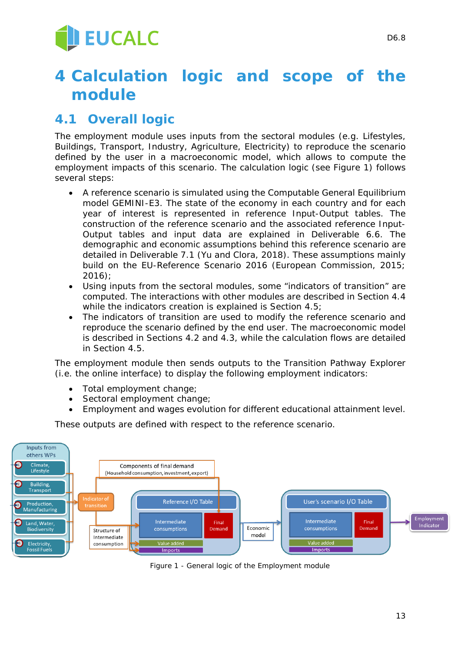# **4 Calculation logic and scope of the module**

# **4.1 Overall logic**

The employment module uses inputs from the sectoral modules (e.g. Lifestyles, Buildings, Transport, Industry, Agriculture, Electricity) to reproduce the scenario defined by the user in a macroeconomic model, which allows to compute the employment impacts of this scenario. The calculation logic (see Figure 1) follows several steps:

- A reference scenario is simulated using the Computable General Equilibrium model GEMINI-E3. The state of the economy in each country and for each year of interest is represented in reference Input-Output tables. The construction of the reference scenario and the associated reference Input-Output tables and input data are explained in Deliverable 6.6. The demographic and economic assumptions behind this reference scenario are detailed in Deliverable 7.1 (Yu and Clora, 2018). These assumptions mainly build on the EU-Reference Scenario 2016 (European Commission, 2015; 2016);
- Using inputs from the sectoral modules, some "indicators of transition" are computed. The interactions with other modules are described in Section 4.4 while the indicators creation is explained is Section 4.5;
- The indicators of transition are used to modify the reference scenario and reproduce the scenario defined by the end user. The macroeconomic model is described in Sections 4.2 and 4.3, while the calculation flows are detailed in Section 4.5.

The employment module then sends outputs to the Transition Pathway Explorer (i.e. the online interface) to display the following employment indicators:

- Total employment change;
- Sectoral employment change;
- Employment and wages evolution for different educational attainment level.

These outputs are defined with respect to the reference scenario.



*Figure 1 - General logic of the Employment module*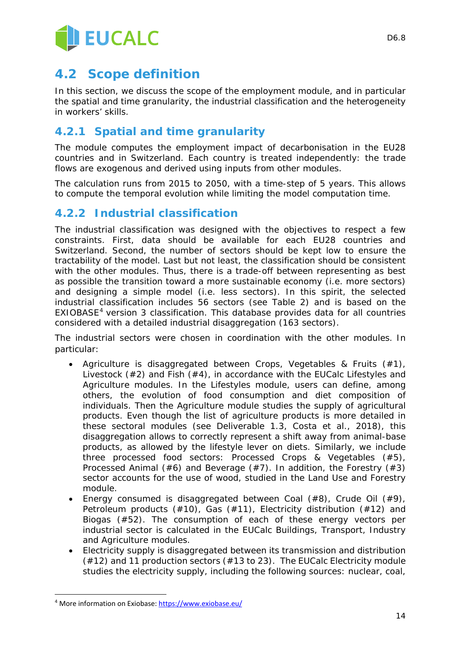

# **4.2 Scope definition**

In this section, we discuss the scope of the employment module, and in particular the spatial and time granularity, the industrial classification and the heterogeneity in workers' skills.

### **4.2.1 Spatial and time granularity**

The module computes the employment impact of decarbonisation in the EU28 countries and in Switzerland. Each country is treated independently: the trade flows are exogenous and derived using inputs from other modules.

The calculation runs from 2015 to 2050, with a time-step of 5 years. This allows to compute the temporal evolution while limiting the model computation time.

### **4.2.2 Industrial classification**

The industrial classification was designed with the objectives to respect a few constraints. First, data should be available for each EU28 countries and Switzerland. Second, the number of sectors should be kept low to ensure the tractability of the model. Last but not least, the classification should be consistent with the other modules. Thus, there is a trade-off between representing as best as possible the transition toward a more sustainable economy (i.e. more sectors) and designing a simple model (i.e. less sectors). In this spirit, the selected industrial classification includes 56 sectors (see Table 2) and is based on the EXIOBASE[4](#page-13-0) version 3 classification. This database provides data for all countries considered with a detailed industrial disaggregation (163 sectors).

The industrial sectors were chosen in coordination with the other modules. In particular:

- Agriculture is disaggregated between *Crops, Vegetables & Fruits* (#1), *Livestock* (#2) and *Fish* (#4), in accordance with the EUCalc Lifestyles and Agriculture modules. In the Lifestyles module, users can define, among others, the evolution of food consumption and diet composition of individuals. Then the Agriculture module studies the supply of agricultural products. Even though the list of agriculture products is more detailed in these sectoral modules (see Deliverable 1.3, Costa et al., 2018), this disaggregation allows to correctly represent a shift away from animal-base products, as allowed by the lifestyle lever on diets. Similarly, we include three processed food sectors: *Processed Crops & Vegetables* (#5), *Processed Animal* (#6) and *Beverage* (#7). In addition, the *Forestry* (#3) sector accounts for the use of wood, studied in the Land Use and Forestry module.
- Energy consumed is disaggregated between *Coal* (#8), *Crude Oil* (#9), *Petroleum products* (#10), *Gas* (#11), *Electricity distribution* (#12) and *Biogas* (#52). The consumption of each of these energy vectors per industrial sector is calculated in the EUCalc Buildings, Transport, Industry and Agriculture modules.
- Electricity supply is disaggregated between its transmission and distribution (#12) and 11 production sectors (#13 to 23). The EUCalc Electricity module studies the electricity supply, including the following sources: nuclear, coal,

-

<span id="page-13-0"></span><sup>4</sup> More information on Exiobase:<https://www.exiobase.eu/>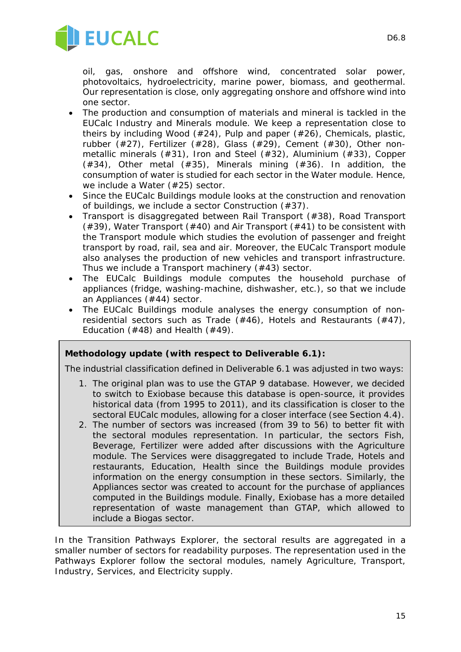

oil, gas, onshore and offshore wind, concentrated solar power, photovoltaics, hydroelectricity, marine power, biomass, and geothermal. Our representation is close, only aggregating onshore and offshore wind into one sector.

- The production and consumption of materials and mineral is tackled in the EUCalc Industry and Minerals module. We keep a representation close to theirs by including *Wood* (#24), *Pulp and paper* (#26), *Chemicals, plastic, rubber* (#27), *Fertilizer* (#28), *Glass* (#29), *Cement* (#30), *Other nonmetallic minerals* (#31), *Iron and Steel* (#32)*, Aluminium* (#33)*, Copper*  (#34), *Other metal* (#35)*, Minerals mining* (#36). In addition, the consumption of water is studied for each sector in the Water module. Hence, we include a *Water* (#25) sector.
- Since the EUCalc Buildings module looks at the construction and renovation of buildings, we include a sector *Construction* (#37).
- Transport is disaggregated between *Rail Transport* (#38), *Road Transport* (#39), *Water Transport* (#40) and *Air Transport* (#41) to be consistent with the Transport module which studies the evolution of passenger and freight transport by road, rail, sea and air. Moreover, the EUCalc Transport module also analyses the production of new vehicles and transport infrastructure. Thus we include a *Transport machinery* (#43) sector.
- The EUCalc Buildings module computes the household purchase of appliances (fridge, washing-machine, dishwasher, etc.), so that we include an *Appliances* (#44) sector.
- The EUCalc Buildings module analyses the energy consumption of nonresidential sectors such as *Trade* (#46), *Hotels and Restaurants* (#47), *Education* (#48) and *Health* (#49).

#### *Methodology update (with respect to Deliverable 6.1):*

*The industrial classification defined in Deliverable 6.1 was adjusted in two ways:*

- *1. The original plan was to use the GTAP 9 database. However, we decided to switch to Exiobase because this database is open-source, it provides historical data (from 1995 to 2011), and its classification is closer to the sectoral EUCalc modules, allowing for a closer interface (see Section 4.4).*
- *2. The number of sectors was increased (from 39 to 56) to better fit with the sectoral modules representation. In particular, the sectors Fish, Beverage, Fertilizer were added after discussions with the Agriculture module. The Services were disaggregated to include Trade, Hotels and restaurants, Education, Health since the Buildings module provides information on the energy consumption in these sectors. Similarly, the Appliances sector was created to account for the purchase of appliances computed in the Buildings module. Finally, Exiobase has a more detailed representation of waste management than GTAP, which allowed to include a Biogas sector.*

In the Transition Pathways Explorer, the sectoral results are aggregated in a smaller number of sectors for readability purposes. The representation used in the Pathways Explorer follow the sectoral modules, namely Agriculture, Transport, Industry, Services, and Electricity supply.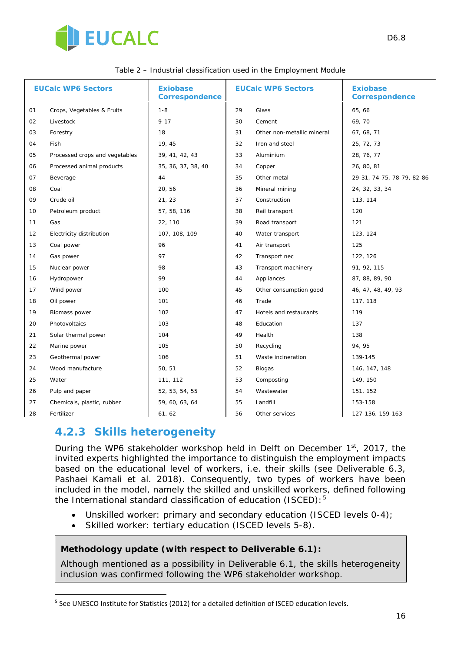

| <b>EUCalc WP6 Sectors</b> |                                | <b>Exiobase</b><br><b>Correspondence</b> | <b>EUCalc WP6 Sectors</b> |                            | <b>Exiobase</b><br><b>Correspondence</b> |
|---------------------------|--------------------------------|------------------------------------------|---------------------------|----------------------------|------------------------------------------|
| 01                        | Crops, Vegetables & Fruits     | $1 - 8$                                  | 29                        | Glass                      | 65, 66                                   |
| 02                        | Livestock                      | $9 - 17$                                 | 30                        | Cement                     | 69,70                                    |
| 03                        | Forestry                       | 18                                       | 31                        | Other non-metallic mineral | 67, 68, 71                               |
| 04                        | Fish                           | 19, 45                                   | 32                        | Iron and steel             | 25, 72, 73                               |
| 05                        | Processed crops and vegetables | 39, 41, 42, 43                           | 33                        | Aluminium                  | 28, 76, 77                               |
| 06                        | Processed animal products      | 35, 36, 37, 38, 40                       | 34                        | Copper                     | 26, 80, 81                               |
| 07                        | Beverage                       | 44                                       | 35                        | Other metal                | 29-31, 74-75, 78-79, 82-86               |
| 08                        | Coal                           | 20,56                                    | 36                        | Mineral mining             | 24, 32, 33, 34                           |
| 09                        | Crude oil                      | 21, 23                                   | 37                        | Construction               | 113, 114                                 |
| 10                        | Petroleum product              | 57, 58, 116                              | 38                        | Rail transport             | 120                                      |
| 11                        | Gas                            | 22, 110                                  | 39                        | Road transport             | 121                                      |
| 12                        | Electricity distribution       | 107, 108, 109                            | 40                        | Water transport            | 123, 124                                 |
| 13                        | Coal power                     | 96                                       | 41                        | Air transport              | 125                                      |
| 14                        | Gas power                      | 97                                       | 42                        | Transport nec              | 122, 126                                 |
| 15                        | Nuclear power                  | 98                                       | 43                        | Transport machinery        | 91, 92, 115                              |
| 16                        | Hydropower                     | 99                                       | 44                        | Appliances                 | 87, 88, 89, 90                           |
| 17                        | Wind power                     | 100                                      | 45                        | Other consumption good     | 46, 47, 48, 49, 93                       |
| 18                        | Oil power                      | 101                                      | 46                        | Trade                      | 117, 118                                 |
| 19                        | Biomass power                  | 102                                      | 47                        | Hotels and restaurants     | 119                                      |
| 20                        | Photovoltaics                  | 103                                      | 48                        | Education                  | 137                                      |
| 21                        | Solar thermal power            | 104                                      | 49                        | Health                     | 138                                      |
| 22                        | Marine power                   | 105                                      | 50                        | Recycling                  | 94, 95                                   |
| 23                        | Geothermal power               | 106                                      | 51                        | Waste incineration         | 139-145                                  |
| 24                        | Wood manufacture               | 50, 51                                   | 52                        | <b>Biogas</b>              | 146, 147, 148                            |
| 25                        | Water                          | 111, 112                                 | 53                        | Composting                 | 149, 150                                 |
| 26                        | Pulp and paper                 | 52, 53, 54, 55                           | 54                        | Wastewater                 | 151, 152                                 |
| 27                        | Chemicals, plastic, rubber     | 59, 60, 63, 64                           | 55                        | Landfill                   | 153-158                                  |
| 28                        | Fertilizer                     | 61, 62                                   | 56                        | Other services             | 127-136, 159-163                         |

### **4.2.3 Skills heterogeneity**

-

During the WP6 stakeholder workshop held in Delft on December 1<sup>st</sup>, 2017, the invited experts highlighted the importance to distinguish the employment impacts based on the educational level of workers, i.e. their skills (see Deliverable 6.3, Pashaei Kamali et al. 2018). Consequently, two types of workers have been included in the model, namely the skilled and unskilled workers, defined following the International standard classification of education (ISCED):

- Unskilled worker: primary and secondary education (ISCED levels 0-4);
- Skilled worker: tertiary education (ISCED levels 5-8).

#### *Methodology update (with respect to Deliverable 6.1):*

*Although mentioned as a possibility in Deliverable 6.1, the skills heterogeneity inclusion was confirmed following the WP6 stakeholder workshop.*

<span id="page-15-0"></span><sup>&</sup>lt;sup>5</sup> See UNESCO Institute for Statistics (2012) for a detailed definition of ISCED education levels.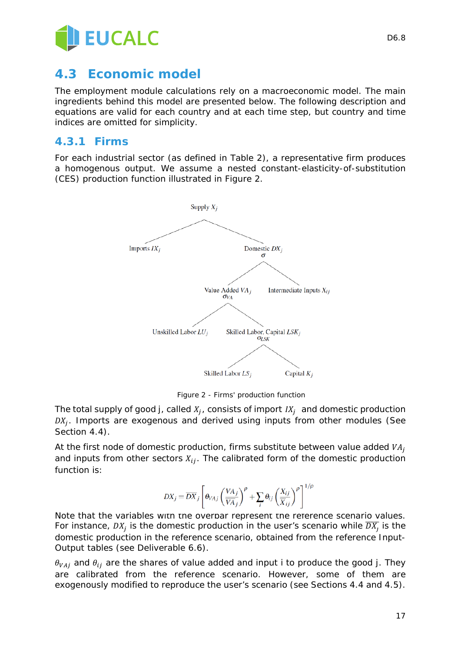

## **4.3 Economic model**

The employment module calculations rely on a macroeconomic model. The main ingredients behind this model are presented below. The following description and equations are valid for each country and at each time step, but country and time indices are omitted for simplicity.

### **4.3.1 Firms**

For each industrial sector (as defined in Table 2), a representative firm produces a homogenous output. We assume a nested constant-elasticity-of-substitution (CES) production function illustrated in Figure 2.



*Figure 2 - Firms' production function* 

The total supply of good *j*, called  $X_i$ , consists of import  $IX_i$  and domestic production  $DX_i$ . Imports are exogenous and derived using inputs from other modules (See Section 4.4).

At the first node of domestic production, firms substitute between value added  $VA<sub>i</sub>$ and inputs from other sectors  $X_{ij}$ . The calibrated form of the domestic production function is:

$$
DX_j = \overline{DX}_j \left[ \theta_{VAj} \left( \frac{VA_j}{VA_j} \right)^{\rho} + \sum_i \theta_{ij} \left( \frac{X_{ij}}{\overline{X}_{ij}} \right)^{\rho} \right]^{1/\rho}
$$

Note that the variables with the overbar represent the reference scenario values. For instance,  $DX_i$  is the domestic production in the user's scenario while  $\overline{DX}_i$  is the domestic production in the reference scenario, obtained from the reference Input-Output tables (see Deliverable 6.6).

 $\theta_{VA}$  and  $\theta_{ii}$  are the shares of value added and input *i* to produce the good *j*. They are calibrated from the reference scenario. However, some of them are exogenously modified to reproduce the user's scenario (see Sections 4.4 and 4.5).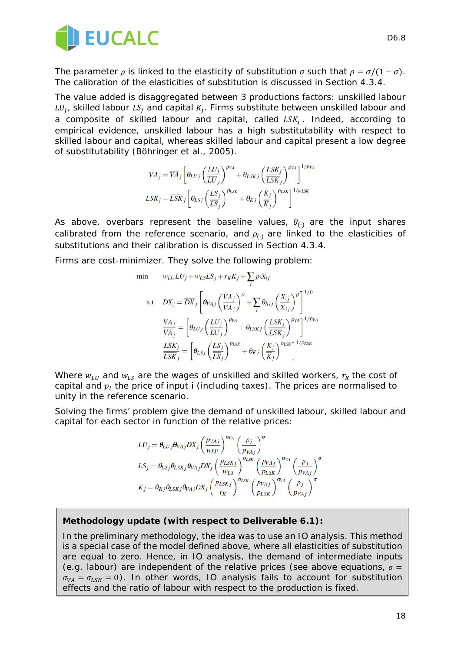

The parameter  $\rho$  is linked to the elasticity of substitution  $\sigma$  such that  $\rho = \sigma/(1 - \sigma)$ . The calibration of the elasticities of substitution is discussed in Section 4.3.4.

The value added is disaggregated between 3 productions factors: unskilled labour  $LU_j$ , skilled labour  $LS_j$  and capital  $K_j$ . Firms substitute between unskilled labour and a composite of skilled labour and capital, called  $LSK_i$ . Indeed, according to empirical evidence, unskilled labour has a high substitutability with respect to skilled labour and capital, whereas skilled labour and capital present a low degree of substitutability (Böhringer et al., 2005).

$$
VA_j = \overline{VA}_j \left[ \theta_{LUj} \left( \frac{LU_j}{\overline{LU}_j} \right)^{\rho_{VA}} + \theta_{LSKj} \left( \frac{LSK_j}{\overline{LSK}_j} \right)^{\rho_{VA}} \right]^{1/\rho_{VA}}
$$

$$
LSK_j = \overline{LSK}_j \left[ \theta_{LSj} \left( \frac{LS_j}{\overline{LS}_j} \right)^{\rho_{LSK}} + \theta_{Kj} \left( \frac{K_j}{\overline{K}_j} \right)^{\rho_{LSK}} \right]^{1/\rho_{LSK}}
$$

As above, overbars represent the baseline values,  $\theta_{(·)}$  are the input shares calibrated from the reference scenario, and  $\rho_{(·)}$  are linked to the elasticities of substitutions and their calibration is discussed in Section 4.3.4.

Firms are cost-minimizer. They solve the following problem:

min 
$$
w_{LU}LU_j + w_{LS}LS_j + r_KK_j + \sum_i p_iX_{ij}
$$
  
\ns.t.  $DX_j = \overline{DX}_j \left[ \theta_{VAj} \left( \frac{VA_j}{\overline{VA}_j} \right)^{\rho} + \sum_i \theta_{Xij} \left( \frac{X_{ij}}{\overline{X}_{ij}} \right)^{\rho} \right]^{1/\rho}$   
\n
$$
\frac{VA_j}{\overline{VA}_j} = \left[ \theta_{LUj} \left( \frac{LU_j}{\overline{LU}_j} \right)^{\rho_{VA}} + \theta_{LSKj} \left( \frac{LSK_j}{\overline{LSK}_j} \right)^{\rho_{VA}} \right]^{1/\rho_{VA}}
$$
\n
$$
\frac{LSK_j}{\overline{LSK}_j} = \left[ \theta_{LSj} \left( \frac{LS_j}{\overline{LS}_j} \right)^{\rho_{LSK}} + \theta_{Kj} \left( \frac{K_j}{\overline{K}_j} \right)^{\rho_{LSK}} \right]^{1/\rho_{LSK}}
$$

Where  $w_{LU}$  and  $w_{LS}$  are the wages of unskilled and skilled workers,  $r_K$  the cost of capital and  $p_i$  the price of input *i* (including taxes). The prices are normalised to unity in the reference scenario.

Solving the firms' problem give the demand of unskilled labour, skilled labour and capital for each sector in function of the relative prices:

$$
LU_j = \theta_{LUj}\theta_{VAj}DX_j \left(\frac{p_{VAj}}{w_{LU}}\right)^{\sigma_{VA}} \left(\frac{p_j}{p_{VAj}}\right)^{\sigma}
$$
  
\n
$$
LS_j = \theta_{LSj}\theta_{LSKj}\theta_{VAj}DX_j \left(\frac{p_{LSKj}}{w_{LS}}\right)^{\sigma_{LSK}} \left(\frac{p_{VAj}}{p_{LSK}}\right)^{\sigma_{VA}} \left(\frac{p_j}{p_{VAj}}\right)^{\sigma}
$$
  
\n
$$
K_j = \theta_{Kj}\theta_{LSKj}\theta_{VAj}DX_j \left(\frac{p_{LSKj}}{r_K}\right)^{\sigma_{LSK}} \left(\frac{p_{VAj}}{p_{LSK}}\right)^{\sigma_{VA}} \left(\frac{p_j}{p_{VAj}}\right)^{\sigma}
$$

#### *Methodology update (with respect to Deliverable 6.1):*

*In the preliminary methodology, the idea was to use an IO analysis. This method is a special case of the model defined above, where all elasticities of substitution are equal to zero. Hence, in IO analysis, the demand of intermediate inputs (e.g. labour) are independent of the relative prices (see above equations,*  $\sigma$  *=*  $\sigma_{VA} = \sigma_{LSK} = 0$ ). In other words, IO analysis fails to account for substitution *effects and the ratio of labour with respect to the production is fixed.*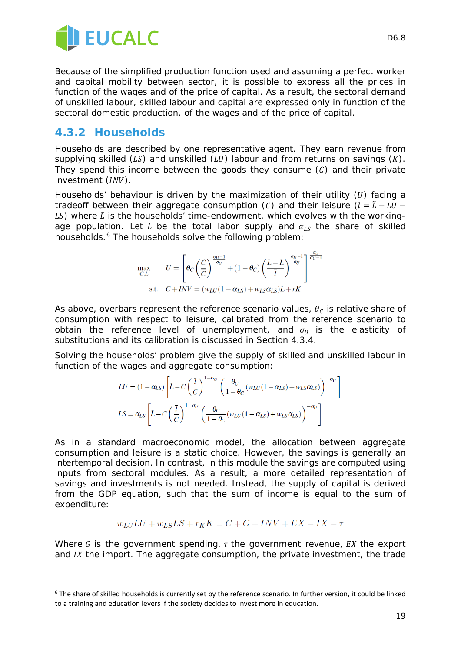

Because of the simplified production function used and assuming a perfect worker and capital mobility between sector, it is possible to express all the prices in function of the wages and of the price of capital. As a result, the sectoral demand of unskilled labour, skilled labour and capital are expressed only in function of the sectoral domestic production, of the wages and of the price of capital.

### **4.3.2 Households**

Households are described by one representative agent. They earn revenue from supplying skilled  $(LS)$  and unskilled  $(LU)$  labour and from returns on savings  $(K)$ . They spend this income between the goods they consume  $(C)$  and their private investment  $(INV)$ .

Households' behaviour is driven by the maximization of their utility  $(U)$  facing a tradeoff between their aggregate consumption (C) and their leisure  $(l = \tilde{L} - LU -$ LS) where  $\tilde{L}$  is the households' time-endowment, which evolves with the workingage population. Let L be the total labor supply and  $\alpha_{1s}$  the share of skilled households.<sup>[6](#page-18-0)</sup> The households solve the following problem:

$$
\max_{C,L} \qquad U = \left[ \theta_C \left( \frac{C}{\overline{C}} \right)^{\frac{\sigma_U - 1}{\sigma_U}} + (1 - \theta_C) \left( \frac{\tilde{L} - L}{\overline{I}} \right)^{\frac{\sigma_U - 1}{\sigma_U}} \right]^{\frac{\sigma_U}{\sigma_U - 1}}
$$
\n
$$
\text{s.t.} \quad C + INV = (w_{LU}(1 - \alpha_{LS}) + w_{LS}\alpha_{LS})L + rK
$$

As above, overbars represent the reference scenario values,  $\theta_c$  is relative share of consumption with respect to leisure, calibrated from the reference scenario to obtain the reference level of unemployment, and  $\sigma_{U}$  is the elasticity of substitutions and its calibration is discussed in Section 4.3.4.

Solving the households' problem give the supply of skilled and unskilled labour in function of the wages and aggregate consumption:

$$
LU = (1 - \alpha_{LS}) \left[ \tilde{L} - C \left( \frac{\bar{l}}{\bar{C}} \right)^{1 - \sigma_U} \left( \frac{\theta_C}{1 - \theta_C} \left( w_{LU} (1 - \alpha_{LS}) + w_{LS} \alpha_{LS} \right) \right)^{-\sigma_U} \right]
$$
  

$$
LS = \alpha_{LS} \left[ L - C \left( \frac{\bar{l}}{\bar{C}} \right)^{1 - \sigma_U} \left( \frac{\theta_C}{1 - \theta_C} \left( w_{LU} (1 - \alpha_{LS}) + w_{LS} \alpha_{LS} \right) \right)^{-\sigma_U} \right]
$$

As in a standard macroeconomic model, the allocation between aggregate consumption and leisure is a static choice. However, the savings is generally an intertemporal decision. In contrast, in this module the savings are computed using inputs from sectoral modules. As a result, a more detailed representation of savings and investments is not needed. Instead, the supply of capital is derived from the GDP equation, such that the sum of income is equal to the sum of expenditure:

$$
w_{LU}LU + w_{LS}LS + r_KK = C + G + INV + EX - IX - \tau
$$

Where G is the government spending,  $\tau$  the government revenue, EX the export and  $IX$  the import. The aggregate consumption, the private investment, the trade

<span id="page-18-0"></span><sup>-</sup><sup>6</sup> The share of skilled households is currently set by the reference scenario. In further version, it could be linked to a training and education levers if the society decides to invest more in education.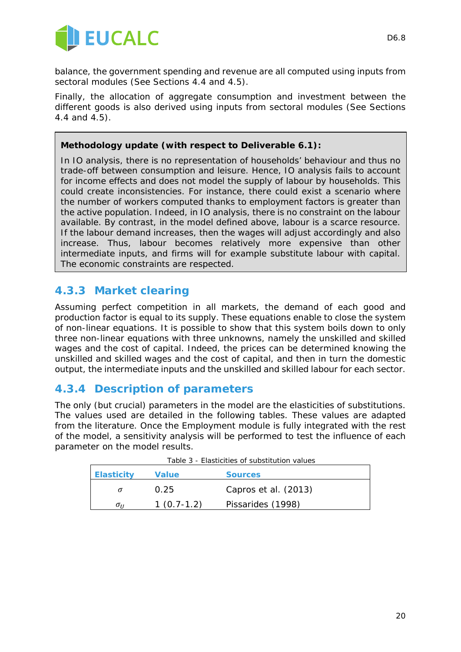

balance, the government spending and revenue are all computed using inputs from sectoral modules (See Sections 4.4 and 4.5).

Finally, the allocation of aggregate consumption and investment between the different goods is also derived using inputs from sectoral modules (See Sections 4.4 and 4.5).

#### *Methodology update (with respect to Deliverable 6.1):*

*In IO analysis, there is no representation of households' behaviour and thus no trade-off between consumption and leisure. Hence, IO analysis fails to account for income effects and does not model the supply of labour by households. This could create inconsistencies. For instance, there could exist a scenario where the number of workers computed thanks to employment factors is greater than the active population. Indeed, in IO analysis, there is no constraint on the labour available. By contrast, in the model defined above, labour is a scarce resource. If the labour demand increases, then the wages will adjust accordingly and also increase.* Thus, labour becomes relatively more expensive than other *intermediate inputs, and firms will for example substitute labour with capital. The economic constraints are respected.* 

### **4.3.3 Market clearing**

Assuming perfect competition in all markets, the demand of each good and production factor is equal to its supply. These equations enable to close the system of non-linear equations. It is possible to show that this system boils down to only three non-linear equations with three unknowns, namely the unskilled and skilled wages and the cost of capital. Indeed, the prices can be determined knowing the unskilled and skilled wages and the cost of capital, and then in turn the domestic output, the intermediate inputs and the unskilled and skilled labour for each sector.

### **4.3.4 Description of parameters**

The only (but crucial) parameters in the model are the elasticities of substitutions. The values used are detailed in the following tables. These values are adapted from the literature. Once the Employment module is fully integrated with the rest of the model, a sensitivity analysis will be performed to test the influence of each parameter on the model results.

| <b>Elasticity</b> | <b>Value</b> | <b>Sources</b>       |
|-------------------|--------------|----------------------|
|                   | 0.25         | Capros et al. (2013) |
| $\sigma_{II}$     | $1(0.7-1.2)$ | Pissarides (1998)    |

|--|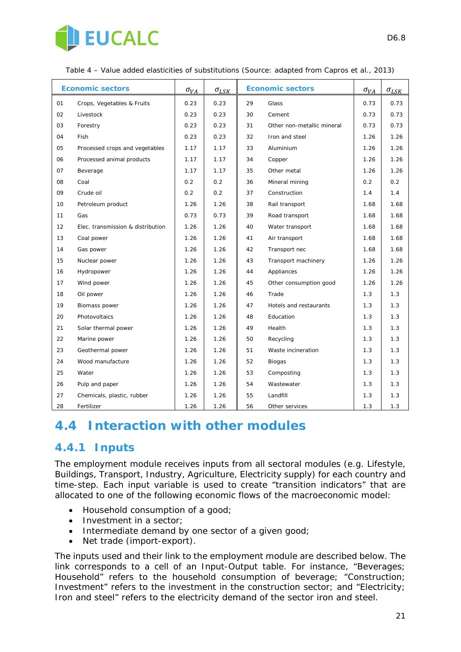

| <b>Economic sectors</b> |                                   | $\sigma_{VA}$ | $\sigma_{LSK}$ | <b>Economic sectors</b> |                            | $\sigma_{VA}$ | $\sigma_{LSE}$ |
|-------------------------|-----------------------------------|---------------|----------------|-------------------------|----------------------------|---------------|----------------|
| 01                      | Crops, Vegetables & Fruits        | 0.23          | 0.23           | 29<br>Glass             |                            | 0.73          | 0.73           |
| 02                      | Livestock                         | 0.23          | 0.23           | 30                      | Cement                     | 0.73          | 0.73           |
| 03                      | Forestry                          | 0.23          | 0.23           | 31                      | Other non-metallic mineral | 0.73          | 0.73           |
| 04                      | Fish                              | 0.23          | 0.23           | 32                      | Iron and steel             | 1.26          | 1.26           |
| 05                      | Processed crops and vegetables    | 1.17          | 1.17           | 33                      | Aluminium                  | 1.26          | 1.26           |
| 06                      | Processed animal products         | 1.17          | 1.17           | 34                      | Copper                     | 1.26          | 1.26           |
| 07                      | Beverage                          | 1.17          | 1.17           | 35                      | Other metal                | 1.26          | 1.26           |
| 08                      | Coal                              | 0.2           | 0.2            | 36                      | Mineral mining             | 0.2           | 0.2            |
| 09                      | Crude oil                         | 0.2           | 0.2            | 37                      | Construction               | 1.4           | 1.4            |
| 10                      | Petroleum product                 | 1.26          | 1.26           | 38                      | Rail transport             | 1.68          | 1.68           |
| 11                      | Gas                               | 0.73          | 0.73           | 39                      | Road transport             | 1.68          | 1.68           |
| 12                      | Elec. transmission & distribution | 1.26          | 1.26           | 40                      | Water transport            | 1.68          | 1.68           |
| 13                      | Coal power                        | 1.26          | 1.26           | 41                      | Air transport              | 1.68          | 1.68           |
| 14                      | Gas power                         | 1.26          | 1.26           | 42                      | Transport nec              | 1.68          | 1.68           |
| 15                      | Nuclear power                     | 1.26          | 1.26           | 43                      | Transport machinery        | 1.26          | 1.26           |
| 16                      | Hydropower                        | 1.26          | 1.26           | 44                      | Appliances                 | 1.26          | 1.26           |
| 17                      | Wind power                        | 1.26          | 1.26           | 45                      | Other consumption good     | 1.26          | 1.26           |
| 18                      | Oil power                         | 1.26          | 1.26           | 46                      | Trade                      | 1.3           | 1.3            |
| 19                      | Biomass power                     | 1.26          | 1.26           | 47                      | Hotels and restaurants     | 1.3           | 1.3            |
| 20                      | Photovoltaics                     | 1.26          | 1.26           | 48                      | Education                  | 1.3           | 1.3            |
| 21                      | Solar thermal power               | 1.26          | 1.26           | 49                      | Health                     | 1.3           | 1.3            |
| 22                      | Marine power                      | 1.26          | 1.26           | 50                      | Recycling                  | 1.3           | 1.3            |
| 23                      | Geothermal power                  | 1.26          | 1.26           | 51                      | Waste incineration         | 1.3           | 1.3            |
| 24                      | Wood manufacture                  | 1.26          | 1.26           | 52                      | <b>Biogas</b>              | 1.3           | 1.3            |
| 25                      | Water                             | 1.26          | 1.26           | 53                      | Composting                 | 1.3           | 1.3            |
| 26                      | Pulp and paper                    | 1.26          | 1.26           | 54                      | Wastewater                 | 1.3           | 1.3            |
| 27                      | Chemicals, plastic, rubber        | 1.26          | 1.26           | 55                      | Landfill                   | 1.3           | 1.3            |
| 28                      | Fertilizer                        | 1.26          | 1.26           | 56                      | Other services             | 1.3           | 1.3            |

*Table 4 – Value added elasticities of substitutions (Source: adapted from Capros et al., 2013)*

# **4.4 Interaction with other modules**

### **4.4.1 Inputs**

The employment module receives inputs from all sectoral modules (e.g. Lifestyle, Buildings, Transport, Industry, Agriculture, Electricity supply) for each country and time-step. Each input variable is used to create "transition indicators" that are allocated to one of the following economic flows of the macroeconomic model:

- Household consumption of a good;
- Investment in a sector;
- Intermediate demand by one sector of a given good;
- Net trade (import-export).

The inputs used and their link to the employment module are described below. The link corresponds to a cell of an Input-Output table. For instance, "Beverages; Household" refers to the household consumption of beverage; "Construction; Investment" refers to the investment in the construction sector; and "Electricity; Iron and steel" refers to the electricity demand of the sector iron and steel.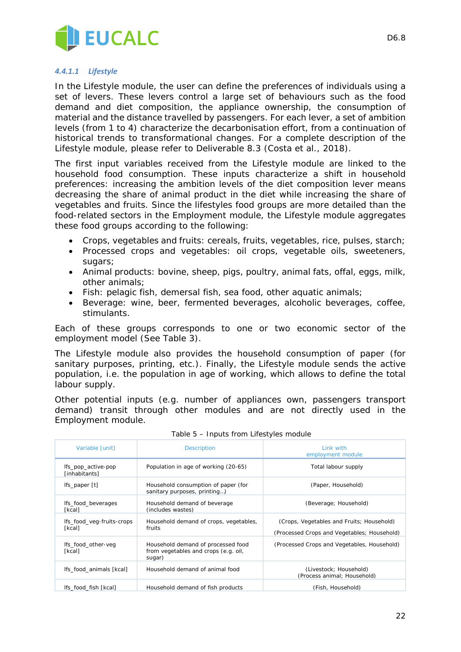

#### *4.4.1.1 Lifestyle*

In the Lifestyle module, the user can define the preferences of individuals using a set of levers. These levers control a large set of behaviours such as the food demand and diet composition, the appliance ownership, the consumption of material and the distance travelled by passengers. For each lever, a set of ambition levels (from 1 to 4) characterize the decarbonisation effort, from a continuation of historical trends to transformational changes. For a complete description of the Lifestyle module, please refer to Deliverable 8.3 (Costa et al., 2018).

The first input variables received from the Lifestyle module are linked to the household food consumption. These inputs characterize a shift in household preferences: increasing the ambition levels of the diet composition lever means decreasing the share of animal product in the diet while increasing the share of vegetables and fruits. Since the lifestyles food groups are more detailed than the food-related sectors in the Employment module, the Lifestyle module aggregates these food groups according to the following:

- Crops, vegetables and fruits: cereals, fruits, vegetables, rice, pulses, starch;
- Processed crops and vegetables: oil crops, vegetable oils, sweeteners, sugars;
- Animal products: bovine, sheep, pigs, poultry, animal fats, offal, eggs, milk, other animals;
- Fish: pelagic fish, demersal fish, sea food, other aquatic animals;
- Beverage: wine, beer, fermented beverages, alcoholic beverages, coffee, stimulants.

Each of these groups corresponds to one or two economic sector of the employment model (See Table 3).

The Lifestyle module also provides the household consumption of paper (for sanitary purposes, printing, etc.). Finally, the Lifestyle module sends the active population, i.e. the population in age of working, which allows to define the total labour supply.

Other potential inputs (e.g. number of appliances own, passengers transport demand) transit through other modules and are not directly used in the Employment module.

| Variable [unit]                     | <b>Description</b>                                                                   | Link with<br>employment module                                                           |
|-------------------------------------|--------------------------------------------------------------------------------------|------------------------------------------------------------------------------------------|
| Ifs_pop_active-pop<br>[inhabitants] | Population in age of working (20-65)                                                 | Total labour supply                                                                      |
| Ifs_paper [t]                       | Household consumption of paper (for<br>sanitary purposes, printing)                  | (Paper, Household)                                                                       |
| Ifs_food_beverages<br>[kcal]        | Household demand of beverage<br>(includes wastes)                                    | (Beverage; Household)                                                                    |
| Ifs_food_veg-fruits-crops<br>[kcal] | Household demand of crops, vegetables,<br>fruits                                     | (Crops, Vegetables and Fruits; Household)<br>(Processed Crops and Vegetables; Household) |
| Ifs_food_other-veg<br>[kcal]        | Household demand of processed food<br>from vegetables and crops (e.g. oil,<br>sugar) | (Processed Crops and Vegetables, Household)                                              |
| Ifs food animals [kcal]             | Household demand of animal food                                                      | (Livestock; Household)<br>(Process animal; Household)                                    |
| lfs_food_fish [kcal]                | Household demand of fish products                                                    | (Fish, Household)                                                                        |

| Table 5 - Inputs from Lifestyles module |  |  |
|-----------------------------------------|--|--|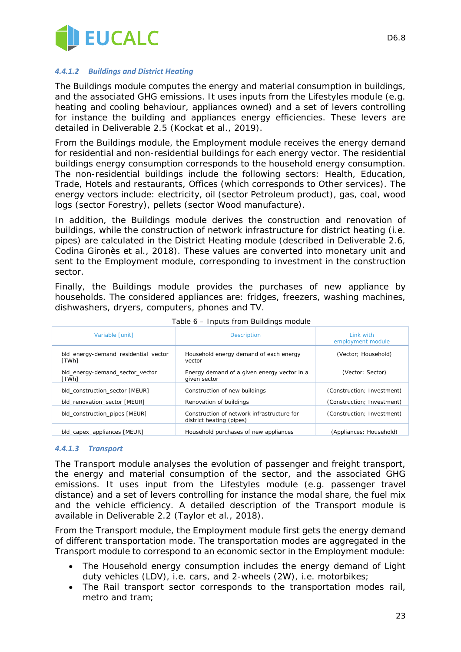

#### *4.4.1.2 Buildings and District Heating*

The Buildings module computes the energy and material consumption in buildings, and the associated GHG emissions. It uses inputs from the Lifestyles module (e.g. heating and cooling behaviour, appliances owned) and a set of levers controlling for instance the building and appliances energy efficiencies. These levers are detailed in Deliverable 2.5 (Kockat et al., 2019).

From the Buildings module, the Employment module receives the energy demand for residential and non-residential buildings for each energy vector. The residential buildings energy consumption corresponds to the household energy consumption. The non-residential buildings include the following sectors: Health, Education, Trade, Hotels and restaurants, Offices (which corresponds to Other services). The energy vectors include: electricity, oil (sector Petroleum product), gas, coal, wood logs (sector Forestry), pellets (sector Wood manufacture).

In addition, the Buildings module derives the construction and renovation of buildings, while the construction of network infrastructure for district heating (i.e. pipes) are calculated in the District Heating module (described in Deliverable 2.6, Codina Gironès et al., 2018). These values are converted into monetary unit and sent to the Employment module, corresponding to investment in the construction sector.

Finally, the Buildings module provides the purchases of new appliance by households. The considered appliances are: fridges, freezers, washing machines, dishwashers, dryers, computers, phones and TV.

| Variable [unit]                               | <b>Description</b>                                                     | Link with<br>employment module |  |
|-----------------------------------------------|------------------------------------------------------------------------|--------------------------------|--|
| bld energy-demand residential vector<br>[TWh] | Household energy demand of each energy<br>vector                       | (Vector: Household)            |  |
| bld_energy-demand_sector_vector<br>[TWh]      | Energy demand of a given energy vector in a<br>given sector            | (Vector; Sector)               |  |
| bld construction sector [MEUR]                | Construction of new buildings                                          | (Construction; Investment)     |  |
| bld renovation sector [MEUR]                  | Renovation of buildings                                                | (Construction; Investment)     |  |
| bld_construction_pipes [MEUR]                 | Construction of network infrastructure for<br>district heating (pipes) | (Construction; Investment)     |  |
| bld capex appliances [MEUR]                   | Household purchases of new appliances                                  | (Appliances: Household)        |  |

*Table 6 – Inputs from Buildings module*

#### *4.4.1.3 Transport*

The Transport module analyses the evolution of passenger and freight transport, the energy and material consumption of the sector, and the associated GHG emissions. It uses input from the Lifestyles module (e.g. passenger travel distance) and a set of levers controlling for instance the modal share, the fuel mix and the vehicle efficiency. A detailed description of the Transport module is available in Deliverable 2.2 (Taylor et al., 2018).

From the Transport module, the Employment module first gets the energy demand of different transportation mode. The transportation modes are aggregated in the Transport module to correspond to an economic sector in the Employment module:

- The Household energy consumption includes the energy demand of Light duty vehicles (LDV), i.e. cars, and 2-wheels (2W), i.e. motorbikes;
- The Rail transport sector corresponds to the transportation modes rail, metro and tram;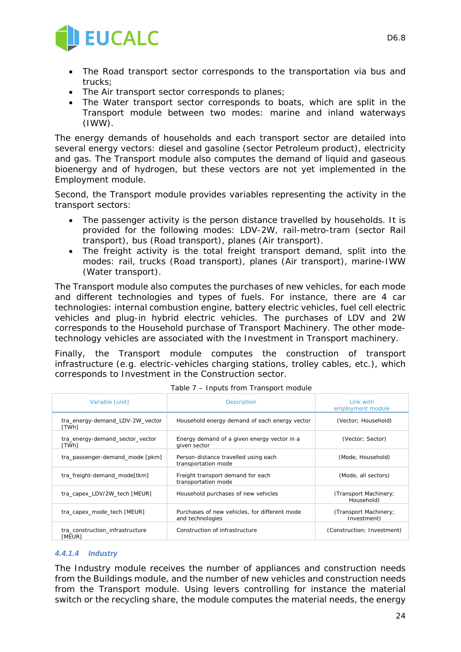

- The Air transport sector corresponds to planes;
- The Water transport sector corresponds to boats, which are split in the Transport module between two modes: marine and inland waterways (IWW).

The energy demands of households and each transport sector are detailed into several energy vectors: diesel and gasoline (sector Petroleum product), electricity and gas. The Transport module also computes the demand of liquid and gaseous bioenergy and of hydrogen, but these vectors are not yet implemented in the Employment module.

Second, the Transport module provides variables representing the activity in the transport sectors:

- The passenger activity is the person distance travelled by households. It is provided for the following modes: LDV-2W, rail-metro-tram (sector Rail transport), bus (Road transport), planes (Air transport).
- The freight activity is the total freight transport demand, split into the modes: rail, trucks (Road transport), planes (Air transport), marine-IWW (Water transport).

The Transport module also computes the purchases of new vehicles, for each mode and different technologies and types of fuels. For instance, there are 4 car technologies: internal combustion engine, battery electric vehicles, fuel cell electric vehicles and plug-in hybrid electric vehicles. The purchases of LDV and 2W corresponds to the Household purchase of Transport Machinery. The other modetechnology vehicles are associated with the Investment in Transport machinery.

Finally, the Transport module computes the construction of transport infrastructure (e.g. electric-vehicles charging stations, trolley cables, etc.), which corresponds to Investment in the Construction sector.

| Variable [unit]                           | <b>Description</b>                                                | Link with<br>employment module       |
|-------------------------------------------|-------------------------------------------------------------------|--------------------------------------|
| tra energy-demand LDV-2W vector<br>[TWh]  | Household energy demand of each energy vector                     | (Vector: Household)                  |
| tra_energy-demand_sector_vector<br>[TWh]  | Energy demand of a given energy vector in a<br>given sector       | (Vector; Sector)                     |
| tra_passenger-demand_mode [pkm]           | Person-distance travelled using each<br>transportation mode       | (Mode, Household)                    |
| tra freight-demand mode[tkm]              | Freight transport demand for each<br>transportation mode          | (Mode, all sectors)                  |
| tra capex LDV/2W tech [MEUR]              | Household purchases of new vehicles                               | (Transport Machinery;<br>Household)  |
| tra capex mode tech [MEUR]                | Purchases of new vehicles, for different mode<br>and technologies | (Transport Machinery;<br>Investment) |
| tra construction infrastructure<br>[MEUR] | Construction of infrastructure                                    | (Construction; Investment)           |

*Table 7 – Inputs from Transport module*

#### *4.4.1.4 Industry*

The Industry module receives the number of appliances and construction needs from the Buildings module, and the number of new vehicles and construction needs from the Transport module. Using levers controlling for instance the material switch or the recycling share, the module computes the material needs, the energy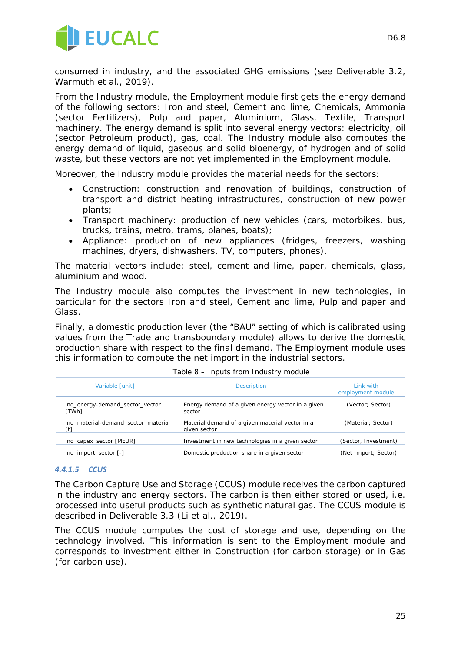

consumed in industry, and the associated GHG emissions (see Deliverable 3.2, Warmuth et al., 2019).

From the Industry module, the Employment module first gets the energy demand of the following sectors: Iron and steel, Cement and lime, Chemicals, Ammonia (sector Fertilizers), Pulp and paper, Aluminium, Glass, Textile, Transport machinery. The energy demand is split into several energy vectors: electricity, oil (sector Petroleum product), gas, coal. The Industry module also computes the energy demand of liquid, gaseous and solid bioenergy, of hydrogen and of solid waste, but these vectors are not yet implemented in the Employment module.

Moreover, the Industry module provides the material needs for the sectors:

- Construction: construction and renovation of buildings, construction of transport and district heating infrastructures, construction of new power plants;
- Transport machinery: production of new vehicles (cars, motorbikes, bus, trucks, trains, metro, trams, planes, boats);
- Appliance: production of new appliances (fridges, freezers, washing machines, dryers, dishwashers, TV, computers, phones).

The material vectors include: steel, cement and lime, paper, chemicals, glass, aluminium and wood.

The Industry module also computes the investment in new technologies, in particular for the sectors Iron and steel, Cement and lime, Pulp and paper and Glass.

Finally, a domestic production lever (the "BAU" setting of which is calibrated using values from the Trade and transboundary module) allows to derive the domestic production share with respect to the final demand. The Employment module uses this information to compute the net import in the industrial sectors.

| Variable [unit]                            | <b>Description</b>                                              | Link with<br>employment module |
|--------------------------------------------|-----------------------------------------------------------------|--------------------------------|
| ind_energy-demand_sector_vector<br>[TWh]   | Energy demand of a given energy vector in a given<br>sector     | (Vector; Sector)               |
| ind material-demand sector material<br>[t] | Material demand of a given material vector in a<br>given sector | (Material; Sector)             |
| ind capex sector [MEUR]                    | Investment in new technologies in a given sector                | (Sector, Investment)           |
| ind import sector [-]                      | Domestic production share in a given sector                     | (Net Import; Sector)           |

*Table 8 – Inputs from Industry module*

#### *4.4.1.5 CCUS*

The Carbon Capture Use and Storage (CCUS) module receives the carbon captured in the industry and energy sectors. The carbon is then either stored or used, i.e. processed into useful products such as synthetic natural gas. The CCUS module is described in Deliverable 3.3 (Li et al., 2019).

The CCUS module computes the cost of storage and use, depending on the technology involved. This information is sent to the Employment module and corresponds to investment either in Construction (for carbon storage) or in Gas (for carbon use).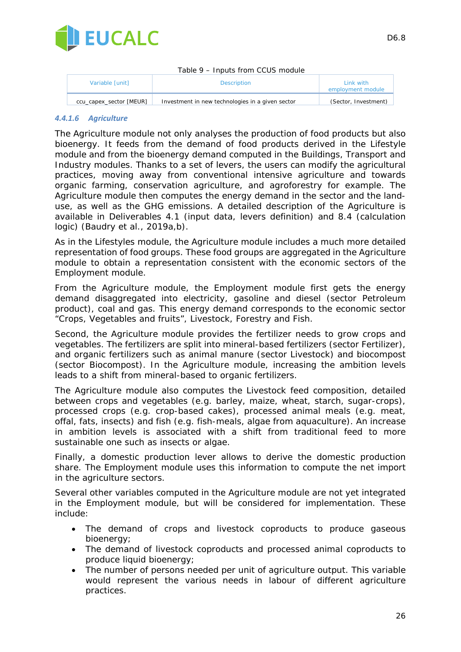

| Table 9 – Inputs from CCUS module |                                                  |                                |  |  |
|-----------------------------------|--------------------------------------------------|--------------------------------|--|--|
| Variable [unit]                   | <b>Description</b>                               | Link with<br>employment module |  |  |
| ccu capex sector [MEUR]           | Investment in new technologies in a given sector | (Sector, Investment)           |  |  |

#### *4.4.1.6 Agriculture*

The Agriculture module not only analyses the production of food products but also bioenergy. It feeds from the demand of food products derived in the Lifestyle module and from the bioenergy demand computed in the Buildings, Transport and Industry modules. Thanks to a set of levers, the users can modify the agricultural practices, moving away from conventional intensive agriculture and towards organic farming, conservation agriculture, and agroforestry for example. The Agriculture module then computes the energy demand in the sector and the landuse, as well as the GHG emissions. A detailed description of the Agriculture is available in Deliverables 4.1 (input data, levers definition) and 8.4 (calculation logic) (Baudry et al., 2019a,b).

As in the Lifestyles module, the Agriculture module includes a much more detailed representation of food groups. These food groups are aggregated in the Agriculture module to obtain a representation consistent with the economic sectors of the Employment module.

From the Agriculture module, the Employment module first gets the energy demand disaggregated into electricity, gasoline and diesel (sector Petroleum product), coal and gas. This energy demand corresponds to the economic sector "Crops, Vegetables and fruits", Livestock, Forestry and Fish.

Second, the Agriculture module provides the fertilizer needs to grow crops and vegetables. The fertilizers are split into mineral-based fertilizers (sector Fertilizer), and organic fertilizers such as animal manure (sector Livestock) and biocompost (sector Biocompost). In the Agriculture module, increasing the ambition levels leads to a shift from mineral-based to organic fertilizers.

The Agriculture module also computes the Livestock feed composition, detailed between crops and vegetables (e.g. barley, maize, wheat, starch, sugar-crops), processed crops (e.g. crop-based cakes), processed animal meals (e.g. meat, offal, fats, insects) and fish (e.g. fish-meals, algae from aquaculture). An increase in ambition levels is associated with a shift from traditional feed to more sustainable one such as insects or algae.

Finally, a domestic production lever allows to derive the domestic production share. The Employment module uses this information to compute the net import in the agriculture sectors.

Several other variables computed in the Agriculture module are not yet integrated in the Employment module, but will be considered for implementation. These include:

- The demand of crops and livestock coproducts to produce gaseous bioenergy:
- The demand of livestock coproducts and processed animal coproducts to produce liquid bioenergy;
- The number of persons needed per unit of agriculture output. This variable would represent the various needs in labour of different agriculture practices.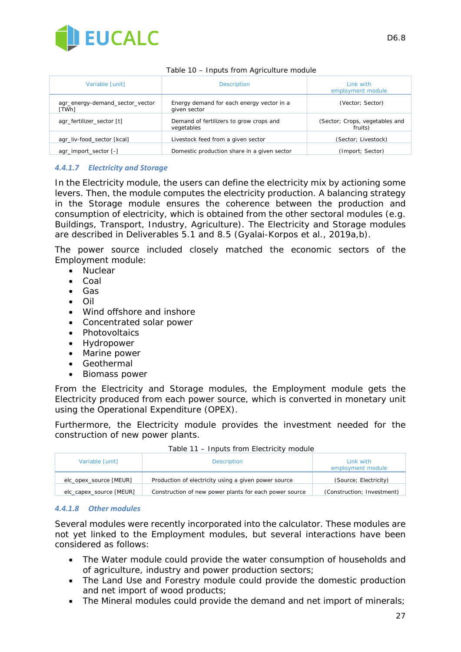

| Variable [unit]                          | <b>Description</b>                                        | Link with<br>employment module            |  |  |  |
|------------------------------------------|-----------------------------------------------------------|-------------------------------------------|--|--|--|
| agr_energy-demand_sector_vector<br>[TWh] | Energy demand for each energy vector in a<br>given sector | (Vector; Sector)                          |  |  |  |
| agr_fertilizer_sector [t]                | Demand of fertilizers to grow crops and<br>vegetables     | (Sector; Crops, vegetables and<br>fruits) |  |  |  |
| agr liv-food sector [kcal]               | Livestock feed from a given sector                        | (Sector; Livestock)                       |  |  |  |
| agr import sector [-]                    | Domestic production share in a given sector               | (Import; Sector)                          |  |  |  |

#### *Table 10 – Inputs from Agriculture module*

#### *4.4.1.7 Electricity and Storage*

In the Electricity module, the users can define the electricity mix by actioning some levers. Then, the module computes the electricity production. A balancing strategy in the Storage module ensures the coherence between the production and consumption of electricity, which is obtained from the other sectoral modules (e.g. Buildings, Transport, Industry, Agriculture). The Electricity and Storage modules are described in Deliverables 5.1 and 8.5 (Gyalai-Korpos et al., 2019a,b).

The power source included closely matched the economic sectors of the Employment module:

- Nuclear
- Coal
- Gas
- Oil
- Wind offshore and inshore
- Concentrated solar power
- Photovoltaics
- Hydropower
- Marine power
- Geothermal
- Biomass power

From the Electricity and Storage modules, the Employment module gets the Electricity produced from each power source, which is converted in monetary unit using the Operational Expenditure (OPEX).

Furthermore, the Electricity module provides the investment needed for the construction of new power plants.

| Variable [unit]         | <b>Description</b>                                     | Link with<br>employment module |
|-------------------------|--------------------------------------------------------|--------------------------------|
| elc opex source [MEUR]  | Production of electricity using a given power source   | (Source: Electricity)          |
| elc capex source [MEUR] | Construction of new power plants for each power source | (Construction; Investment)     |

*Table 11 – Inputs from Electricity module*

#### *4.4.1.8 Other modules*

Several modules were recently incorporated into the calculator. These modules are not yet linked to the Employment modules, but several interactions have been considered as follows:

- The Water module could provide the water consumption of households and of agriculture, industry and power production sectors;
- The Land Use and Forestry module could provide the domestic production and net import of wood products;
- The Mineral modules could provide the demand and net import of minerals;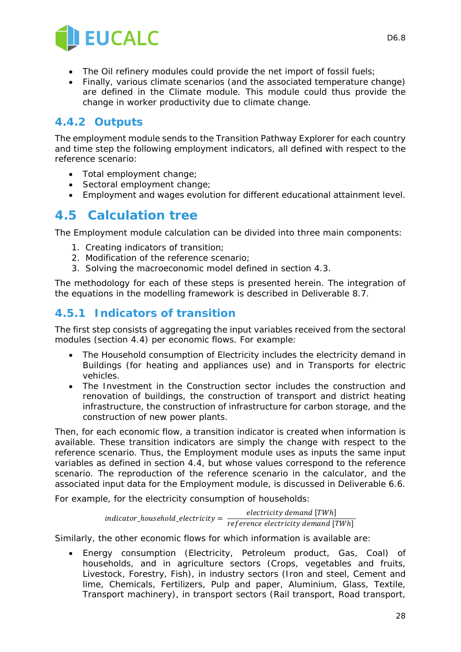

- The Oil refinery modules could provide the net import of fossil fuels;
- Finally, various climate scenarios (and the associated temperature change) are defined in the Climate module. This module could thus provide the change in worker productivity due to climate change.

### **4.4.2 Outputs**

The employment module sends to the Transition Pathway Explorer for each country and time step the following employment indicators, all defined with respect to the reference scenario:

- Total employment change;
- Sectoral employment change;
- Employment and wages evolution for different educational attainment level.

### **4.5 Calculation tree**

The Employment module calculation can be divided into three main components:

- 1. Creating indicators of transition;
- 2. Modification of the reference scenario;
- 3. Solving the macroeconomic model defined in section 4.3.

The methodology for each of these steps is presented herein. The integration of the equations in the modelling framework is described in Deliverable 8.7.

### **4.5.1 Indicators of transition**

The first step consists of aggregating the input variables received from the sectoral modules (section 4.4) per economic flows. For example:

- The Household consumption of Electricity includes the electricity demand in Buildings (for heating and appliances use) and in Transports for electric vehicles.
- The Investment in the Construction sector includes the construction and renovation of buildings, the construction of transport and district heating infrastructure, the construction of infrastructure for carbon storage, and the construction of new power plants.

Then, for each economic flow, a transition indicator is created when information is available. These transition indicators are simply the change with respect to the reference scenario. Thus, the Employment module uses as inputs the same input variables as defined in section 4.4, but whose values correspond to the reference scenario. The reproduction of the reference scenario in the calculator, and the associated input data for the Employment module, is discussed in Deliverable 6.6.

For example, for the electricity consumption of households:

 $\emph{indication\_household\_electricity} = \frac{electricity\emph{ demand } \emph{ [TWh]}}{reference\emph{ electricity} demand \emph{ [TWh]}}$ 

Similarly, the other economic flows for which information is available are:

• Energy consumption (Electricity, Petroleum product, Gas, Coal) of households, and in agriculture sectors (Crops, vegetables and fruits, Livestock, Forestry, Fish), in industry sectors (Iron and steel, Cement and lime, Chemicals, Fertilizers, Pulp and paper, Aluminium, Glass, Textile, Transport machinery), in transport sectors (Rail transport, Road transport,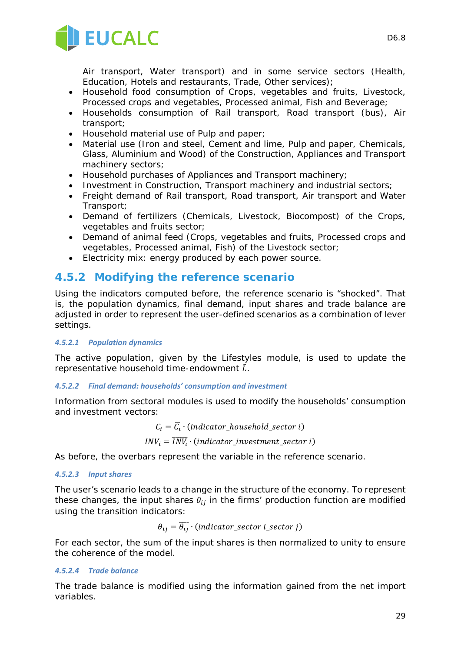

Air transport, Water transport) and in some service sectors (Health, Education, Hotels and restaurants, Trade, Other services);

- Household food consumption of Crops, vegetables and fruits, Livestock, Processed crops and vegetables, Processed animal, Fish and Beverage;
- Households consumption of Rail transport, Road transport (bus), Air transport;
- Household material use of Pulp and paper;
- Material use (Iron and steel, Cement and lime, Pulp and paper, Chemicals, Glass, Aluminium and Wood) of the Construction, Appliances and Transport machinery sectors;
- Household purchases of Appliances and Transport machinery;
- Investment in Construction, Transport machinery and industrial sectors;
- Freight demand of Rail transport, Road transport, Air transport and Water Transport;
- Demand of fertilizers (Chemicals, Livestock, Biocompost) of the Crops, vegetables and fruits sector;
- Demand of animal feed (Crops, vegetables and fruits, Processed crops and vegetables, Processed animal, Fish) of the Livestock sector;
- Electricity mix: energy produced by each power source.

### **4.5.2 Modifying the reference scenario**

Using the indicators computed before, the reference scenario is "shocked". That is, the population dynamics, final demand, input shares and trade balance are adjusted in order to represent the user-defined scenarios as a combination of lever settings.

#### *4.5.2.1 Population dynamics*

The active population, given by the Lifestyles module, is used to update the representative household time-endowment  $\tilde{L}$ .

#### *4.5.2.2 Final demand: households' consumption and investment*

Information from sectoral modules is used to modify the households' consumption and investment vectors:

 $C_i = \overline{C}_i \cdot (indicator\_household\_sector_i)$ 

$$
INV_i = \overline{INV_i} \cdot (indicator\_investment\_sector \ i)
$$

As before, the overbars represent the variable in the reference scenario.

#### *4.5.2.3 Input shares*

The user's scenario leads to a change in the structure of the economy. To represent these changes, the input shares  $\theta_{ij}$  in the firms' production function are modified using the transition indicators:

$$
\theta_{ij} = \overline{\theta_{ij}} \cdot (indicator\_sector \ i\_sector \ j)
$$

For each sector, the sum of the input shares is then normalized to unity to ensure the coherence of the model.

#### *4.5.2.4 Trade balance*

The trade balance is modified using the information gained from the net import variables.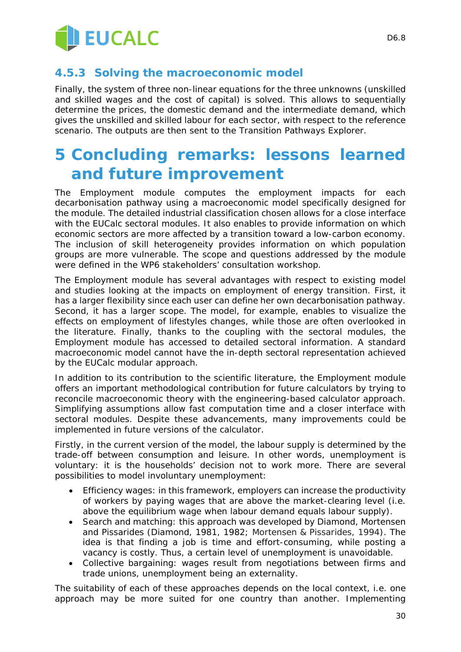

### **4.5.3 Solving the macroeconomic model**

Finally, the system of three non-linear equations for the three unknowns (unskilled and skilled wages and the cost of capital) is solved. This allows to sequentially determine the prices, the domestic demand and the intermediate demand, which gives the unskilled and skilled labour for each sector, with respect to the reference scenario. The outputs are then sent to the Transition Pathways Explorer.

# **5 Concluding remarks: lessons learned and future improvement**

The Employment module computes the employment impacts for each decarbonisation pathway using a macroeconomic model specifically designed for the module. The detailed industrial classification chosen allows for a close interface with the EUCalc sectoral modules. It also enables to provide information on which economic sectors are more affected by a transition toward a low-carbon economy. The inclusion of skill heterogeneity provides information on which population groups are more vulnerable. The scope and questions addressed by the module were defined in the WP6 stakeholders' consultation workshop.

The Employment module has several advantages with respect to existing model and studies looking at the impacts on employment of energy transition. First, it has a larger flexibility since each user can define her own decarbonisation pathway. Second, it has a larger scope. The model, for example, enables to visualize the effects on employment of lifestyles changes, while those are often overlooked in the literature. Finally, thanks to the coupling with the sectoral modules, the Employment module has accessed to detailed sectoral information. A standard macroeconomic model cannot have the in-depth sectoral representation achieved by the EUCalc modular approach.

In addition to its contribution to the scientific literature, the Employment module offers an important methodological contribution for future calculators by trying to reconcile macroeconomic theory with the engineering-based calculator approach. Simplifying assumptions allow fast computation time and a closer interface with sectoral modules. Despite these advancements, many improvements could be implemented in future versions of the calculator.

Firstly, in the current version of the model, the labour supply is determined by the trade-off between consumption and leisure. In other words, unemployment is voluntary: it is the households' decision not to work more. There are several possibilities to model involuntary unemployment:

- Efficiency wages: in this framework, employers can increase the productivity of workers by paying wages that are above the market-clearing level (i.e. above the equilibrium wage when labour demand equals labour supply).
- Search and matching: this approach was developed by Diamond, Mortensen and Pissarides (Diamond, 1981, 1982; Mortensen & Pissarides, 1994). The idea is that finding a job is time and effort-consuming, while posting a vacancy is costly. Thus, a certain level of unemployment is unavoidable.
- Collective bargaining: wages result from negotiations between firms and trade unions, unemployment being an externality.

The suitability of each of these approaches depends on the local context, i.e. one approach may be more suited for one country than another. Implementing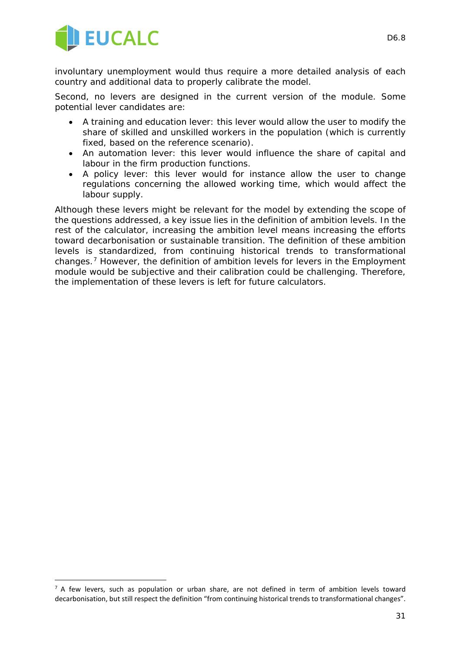

-

involuntary unemployment would thus require a more detailed analysis of each country and additional data to properly calibrate the model.

Second, no levers are designed in the current version of the module. Some potential lever candidates are:

- A training and education lever: this lever would allow the user to modify the share of skilled and unskilled workers in the population (which is currently fixed, based on the reference scenario).
- An automation lever: this lever would influence the share of capital and labour in the firm production functions.
- A policy lever: this lever would for instance allow the user to change regulations concerning the allowed working time, which would affect the labour supply.

Although these levers might be relevant for the model by extending the scope of the questions addressed, a key issue lies in the definition of ambition levels. In the rest of the calculator, increasing the ambition level means increasing the efforts toward decarbonisation or sustainable transition. The definition of these ambition levels is standardized, from continuing historical trends to transformational changes.[7](#page-30-0) However, the definition of ambition levels for levers in the Employment module would be subjective and their calibration could be challenging. Therefore, the implementation of these levers is left for future calculators.

<span id="page-30-0"></span> $<sup>7</sup>$  A few levers, such as population or urban share, are not defined in term of ambition levels toward</sup> decarbonisation, but still respect the definition "from continuing historical trends to transformational changes".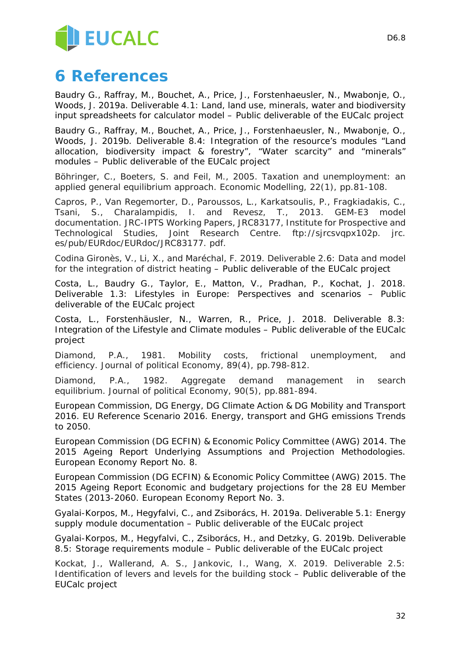

# **6 References**

Baudry G., Raffray, M., Bouchet, A., Price, J., Forstenhaeusler, N., Mwabonje, O., Woods, J. 2019a. Deliverable 4.1: Land, land use, minerals, water and biodiversity input spreadsheets for calculator model – Public deliverable of the EUCalc project

Baudry G., Raffray, M., Bouchet, A., Price, J., Forstenhaeusler, N., Mwabonje, O., Woods, J. 2019b. Deliverable 8.4: Integration of the resource's modules "Land allocation, biodiversity impact & forestry", "Water scarcity" and "minerals" modules – Public deliverable of the EUCalc project

Böhringer, C., Boeters, S. and Feil, M., 2005. Taxation and unemployment: an applied general equilibrium approach. *Economic Modelling*, *22*(1), pp.81-108.

Capros, P., Van Regemorter, D., Paroussos, L., Karkatsoulis, P., Fragkiadakis, C., Tsani, S., Charalampidis, I. and Revesz, T., 2013. GEM-E3 model documentation. *JRC-IPTS Working Papers, JRC83177, Institute for Prospective and Technological Studies, Joint Research Centre. ftp://sjrcsvqpx102p. jrc. es/pub/EURdoc/EURdoc/JRC83177. pdf*.

Codina Gironès, V., Li, X., and Maréchal, F. 2019. Deliverable 2.6: Data and model for the integration of district heating – Public deliverable of the EUCalc project

Costa, L., Baudry G., Taylor, E., Matton, V., Pradhan, P., Kochat, J. 2018. Deliverable 1.3: Lifestyles in Europe: Perspectives and scenarios – Public deliverable of the EUCalc project

Costa, L., Forstenhäusler, N., Warren, R., Price, J. 2018. Deliverable 8.3: Integration of the Lifestyle and Climate modules – Public deliverable of the EUCalc project

Diamond, P.A., 1981. Mobility costs, frictional unemployment, and efficiency. *Journal of political Economy*, *89*(4), pp.798-812.

Diamond, P.A., 1982. Aggregate demand management in search equilibrium. *Journal of political Economy*, *90*(5), pp.881-894.

European Commission, DG Energy, DG Climate Action & DG Mobility and Transport 2016. EU Reference Scenario 2016. Energy, transport and GHG emissions Trends to 2050.

European Commission (DG ECFIN) & Economic Policy Committee (AWG) 2014. The 2015 Ageing Report Underlying Assumptions and Projection Methodologies. *European Economy Report No. 8*.

European Commission (DG ECFIN) & Economic Policy Committee (AWG) 2015. The 2015 Ageing Report Economic and budgetary projections for the 28 EU Member States (2013-2060. *European Economy Report No. 3*.

Gyalai-Korpos, M., Hegyfalvi, C., and Zsiborács, H. 2019a. Deliverable 5.1: Energy supply module documentation – Public deliverable of the EUCalc project

Gyalai-Korpos, M., Hegyfalvi, C., Zsiborács, H., and Detzky, G. 2019b. Deliverable 8.5: Storage requirements module – Public deliverable of the EUCalc project

Kockat, J., Wallerand, A. S., Jankovic, I., Wang, X. 2019. Deliverable 2.5: Identification of levers and levels for the building stock – Public deliverable of the EUCalc project